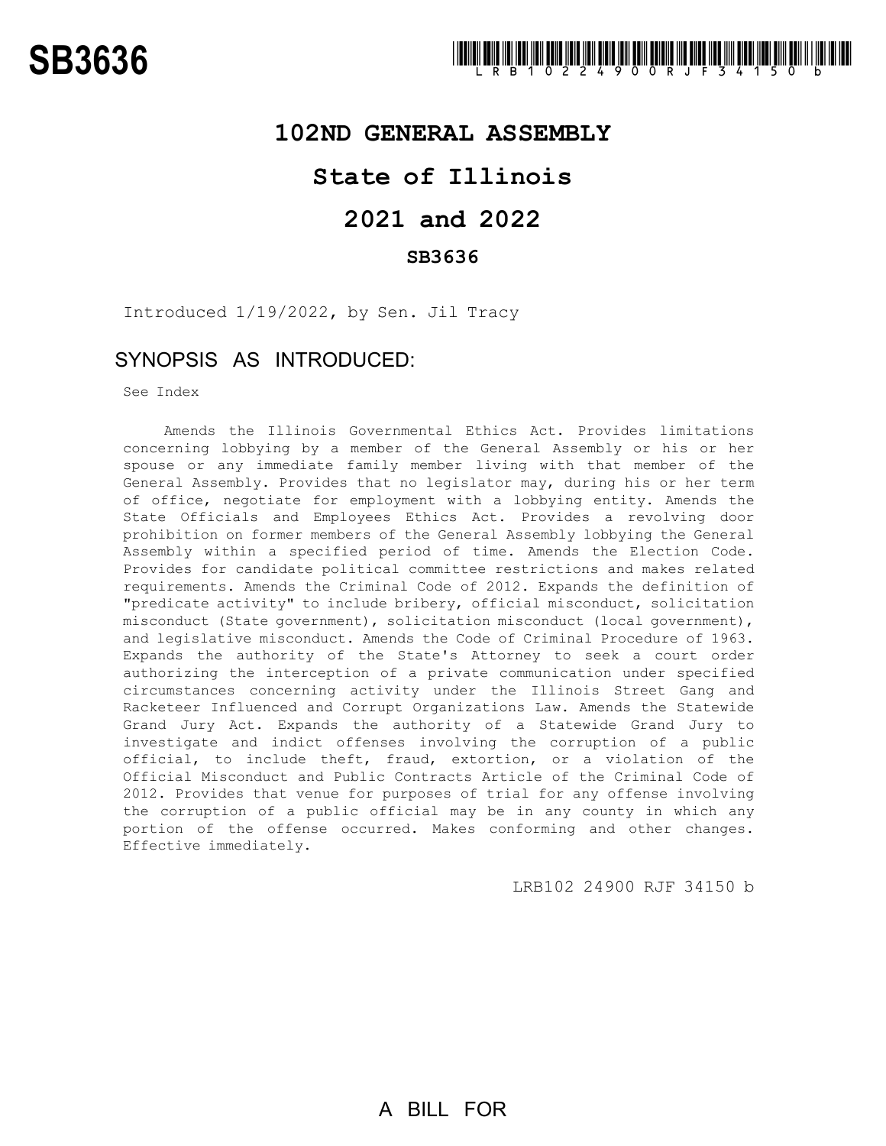#### **102ND GENERAL ASSEMBLY**

### **State of Illinois**

## **2021 and 2022**

#### **SB3636**

Introduced 1/19/2022, by Sen. Jil Tracy

### SYNOPSIS AS INTRODUCED:

See Index

Amends the Illinois Governmental Ethics Act. Provides limitations concerning lobbying by a member of the General Assembly or his or her spouse or any immediate family member living with that member of the General Assembly. Provides that no legislator may, during his or her term of office, negotiate for employment with a lobbying entity. Amends the State Officials and Employees Ethics Act. Provides a revolving door prohibition on former members of the General Assembly lobbying the General Assembly within a specified period of time. Amends the Election Code. Provides for candidate political committee restrictions and makes related requirements. Amends the Criminal Code of 2012. Expands the definition of "predicate activity" to include bribery, official misconduct, solicitation misconduct (State government), solicitation misconduct (local government), and legislative misconduct. Amends the Code of Criminal Procedure of 1963. Expands the authority of the State's Attorney to seek a court order authorizing the interception of a private communication under specified circumstances concerning activity under the Illinois Street Gang and Racketeer Influenced and Corrupt Organizations Law. Amends the Statewide Grand Jury Act. Expands the authority of a Statewide Grand Jury to investigate and indict offenses involving the corruption of a public official, to include theft, fraud, extortion, or a violation of the Official Misconduct and Public Contracts Article of the Criminal Code of 2012. Provides that venue for purposes of trial for any offense involving the corruption of a public official may be in any county in which any portion of the offense occurred. Makes conforming and other changes. Effective immediately.

LRB102 24900 RJF 34150 b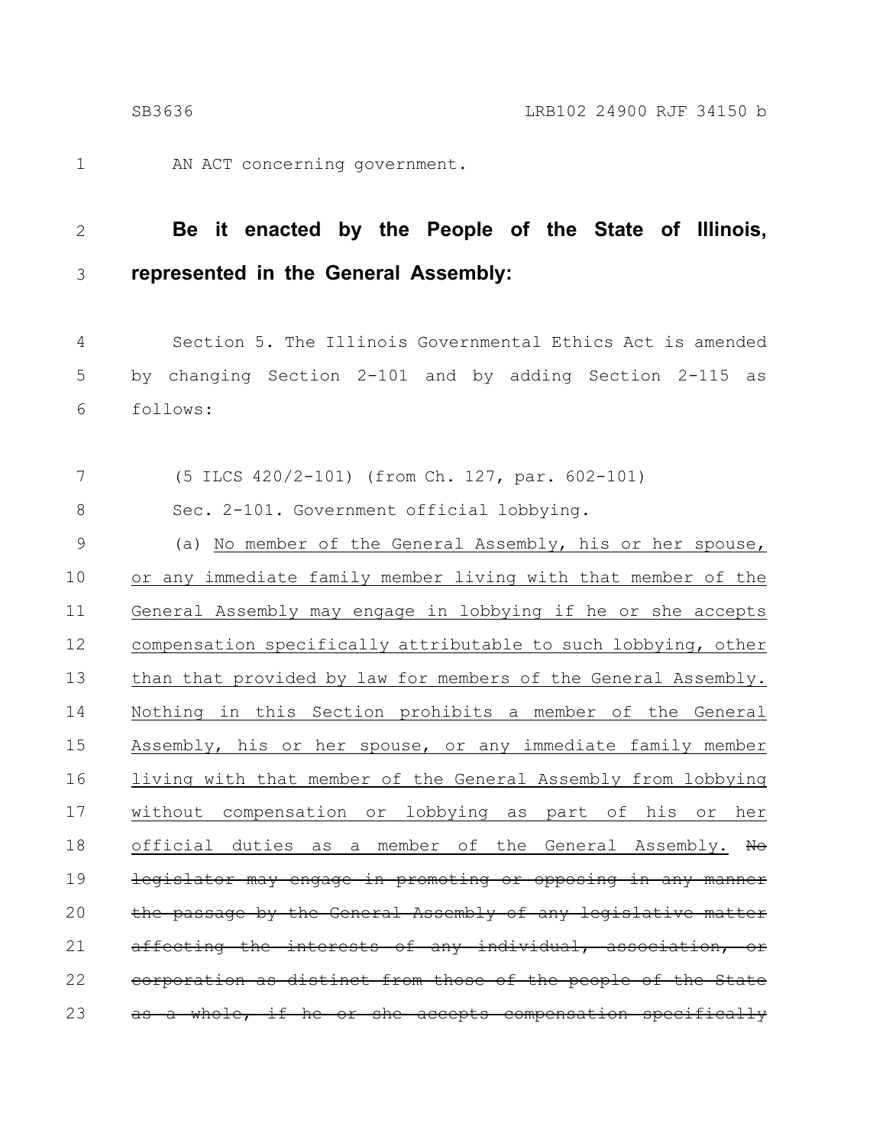1

AN ACT concerning government.

#### **Be it enacted by the People of the State of Illinois, represented in the General Assembly:** 2 3

Section 5. The Illinois Governmental Ethics Act is amended by changing Section 2-101 and by adding Section 2-115 as follows: 4 5 6

(5 ILCS 420/2-101) (from Ch. 127, par. 602-101) 7

Sec. 2-101. Government official lobbying. 8

(a) No member of the General Assembly, his or her spouse, or any immediate family member living with that member of the General Assembly may engage in lobbying if he or she accepts compensation specifically attributable to such lobbying, other than that provided by law for members of the General Assembly. Nothing in this Section prohibits a member of the General Assembly, his or her spouse, or any immediate family member living with that member of the General Assembly from lobbying without compensation or lobbying as part of his or her official duties as a member of the General Assembly. No legislator may engage in promoting or opposing in any manner the passage by the General Assembly of any legislative matter affecting the interests of any individual, association, or corporation as distinct from those of the people of a whole, if he or she accepts compensation specifically 9 10 11 12 13 14 15 16 17 18 19 20 21 22 23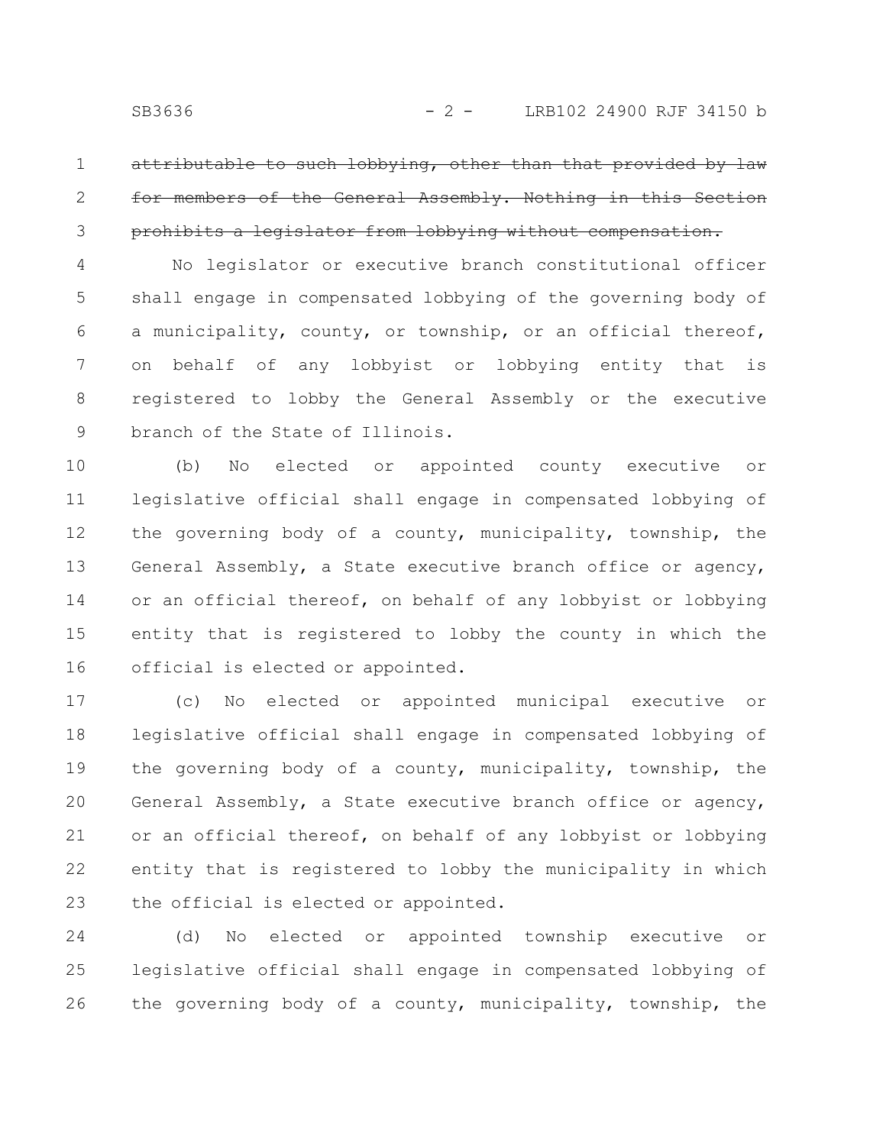1

2

3

attributable to such lobbying, other than that provided by for members of the General Assembly. Nothing in this Section prohibits a legislator from lobbying without compensation.

No legislator or executive branch constitutional officer shall engage in compensated lobbying of the governing body of a municipality, county, or township, or an official thereof, on behalf of any lobbyist or lobbying entity that is registered to lobby the General Assembly or the executive branch of the State of Illinois. 4 5 6 7 8 9

(b) No elected or appointed county executive or legislative official shall engage in compensated lobbying of the governing body of a county, municipality, township, the General Assembly, a State executive branch office or agency, or an official thereof, on behalf of any lobbyist or lobbying entity that is registered to lobby the county in which the official is elected or appointed. 10 11 12 13 14 15 16

(c) No elected or appointed municipal executive or legislative official shall engage in compensated lobbying of the governing body of a county, municipality, township, the General Assembly, a State executive branch office or agency, or an official thereof, on behalf of any lobbyist or lobbying entity that is registered to lobby the municipality in which the official is elected or appointed. 17 18 19 20 21 22 23

(d) No elected or appointed township executive or legislative official shall engage in compensated lobbying of the governing body of a county, municipality, township, the 24 25 26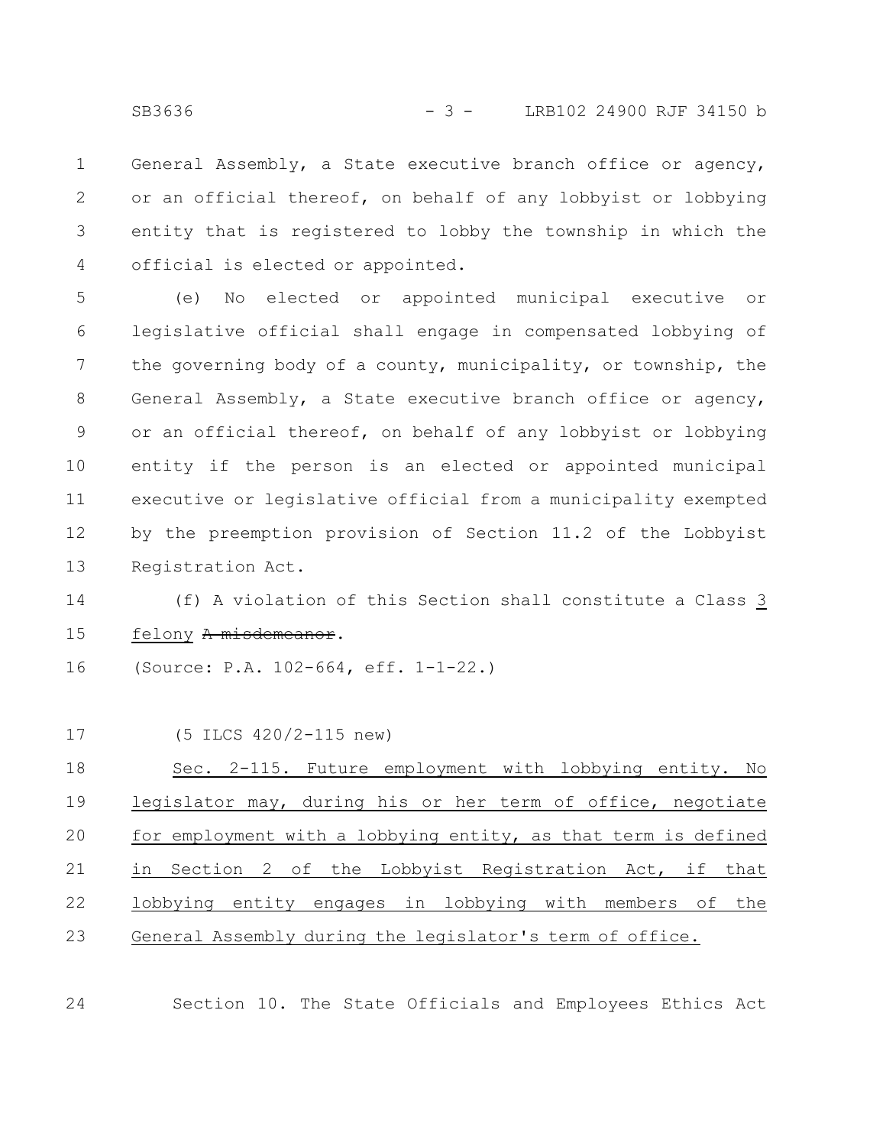General Assembly, a State executive branch office or agency, or an official thereof, on behalf of any lobbyist or lobbying entity that is registered to lobby the township in which the official is elected or appointed. 1 2 3 4

(e) No elected or appointed municipal executive or legislative official shall engage in compensated lobbying of the governing body of a county, municipality, or township, the General Assembly, a State executive branch office or agency, or an official thereof, on behalf of any lobbyist or lobbying entity if the person is an elected or appointed municipal executive or legislative official from a municipality exempted by the preemption provision of Section 11.2 of the Lobbyist Registration Act. 5 6 7 8 9 10 11 12 13

(f) A violation of this Section shall constitute a Class 3 felony A misdemeanor. 14 15

(Source: P.A. 102-664, eff. 1-1-22.) 16

| 17 | (5 ILCS 420/2-115 new)                                         |
|----|----------------------------------------------------------------|
| 18 | Sec. 2-115. Future employment with lobbying entity. No         |
| 19 | legislator may, during his or her term of office, negotiate    |
| 20 | for employment with a lobbying entity, as that term is defined |
| 21 | in Section 2 of the Lobbyist Registration Act, if that         |
| 22 | lobbying entity engages in lobbying with members of the        |
| 23 | General Assembly during the legislator's term of office.       |

24

Section 10. The State Officials and Employees Ethics Act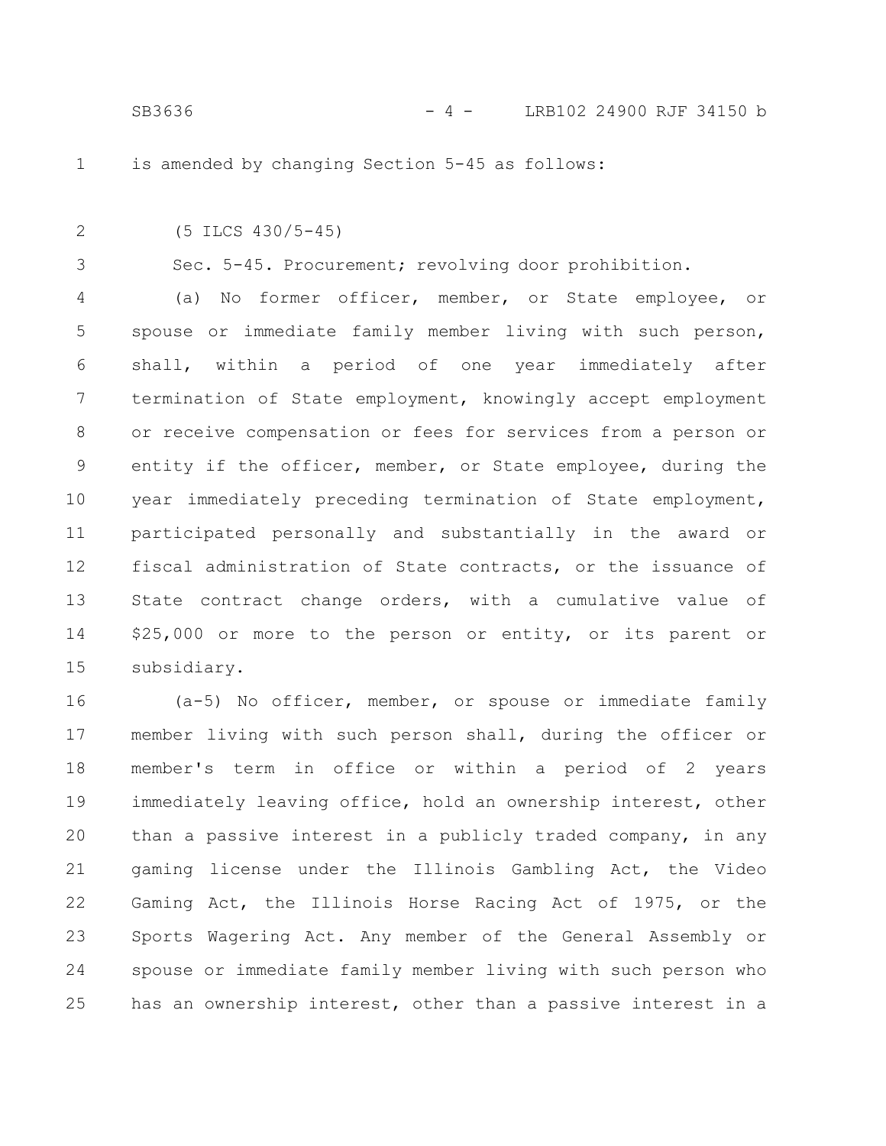1

is amended by changing Section 5-45 as follows:

(5 ILCS 430/5-45) 2

3

Sec. 5-45. Procurement; revolving door prohibition.

(a) No former officer, member, or State employee, or spouse or immediate family member living with such person, shall, within a period of one year immediately after termination of State employment, knowingly accept employment or receive compensation or fees for services from a person or entity if the officer, member, or State employee, during the year immediately preceding termination of State employment, participated personally and substantially in the award or fiscal administration of State contracts, or the issuance of State contract change orders, with a cumulative value of \$25,000 or more to the person or entity, or its parent or subsidiary. 4 5 6 7 8 9 10 11 12 13 14 15

(a-5) No officer, member, or spouse or immediate family member living with such person shall, during the officer or member's term in office or within a period of 2 years immediately leaving office, hold an ownership interest, other than a passive interest in a publicly traded company, in any gaming license under the Illinois Gambling Act, the Video Gaming Act, the Illinois Horse Racing Act of 1975, or the Sports Wagering Act. Any member of the General Assembly or spouse or immediate family member living with such person who has an ownership interest, other than a passive interest in a 16 17 18 19 20 21 22 23 24 25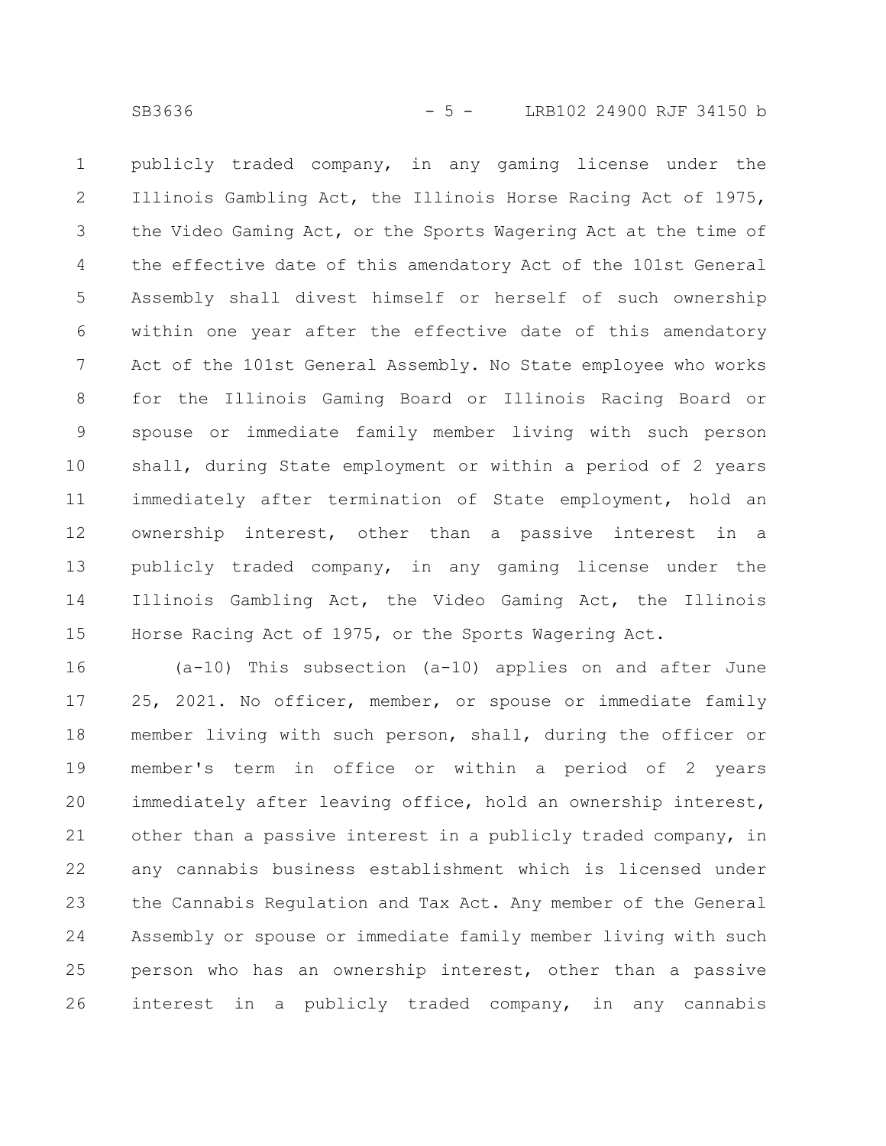publicly traded company, in any gaming license under the Illinois Gambling Act, the Illinois Horse Racing Act of 1975, the Video Gaming Act, or the Sports Wagering Act at the time of the effective date of this amendatory Act of the 101st General Assembly shall divest himself or herself of such ownership within one year after the effective date of this amendatory Act of the 101st General Assembly. No State employee who works for the Illinois Gaming Board or Illinois Racing Board or spouse or immediate family member living with such person shall, during State employment or within a period of 2 years immediately after termination of State employment, hold an ownership interest, other than a passive interest in a publicly traded company, in any gaming license under the Illinois Gambling Act, the Video Gaming Act, the Illinois Horse Racing Act of 1975, or the Sports Wagering Act. 1 2 3 4 5 6 7 8 9 10 11 12 13 14 15

(a-10) This subsection (a-10) applies on and after June 25, 2021. No officer, member, or spouse or immediate family member living with such person, shall, during the officer or member's term in office or within a period of 2 years immediately after leaving office, hold an ownership interest, other than a passive interest in a publicly traded company, in any cannabis business establishment which is licensed under the Cannabis Regulation and Tax Act. Any member of the General Assembly or spouse or immediate family member living with such person who has an ownership interest, other than a passive interest in a publicly traded company, in any cannabis 16 17 18 19 20 21 22 23 24 25 26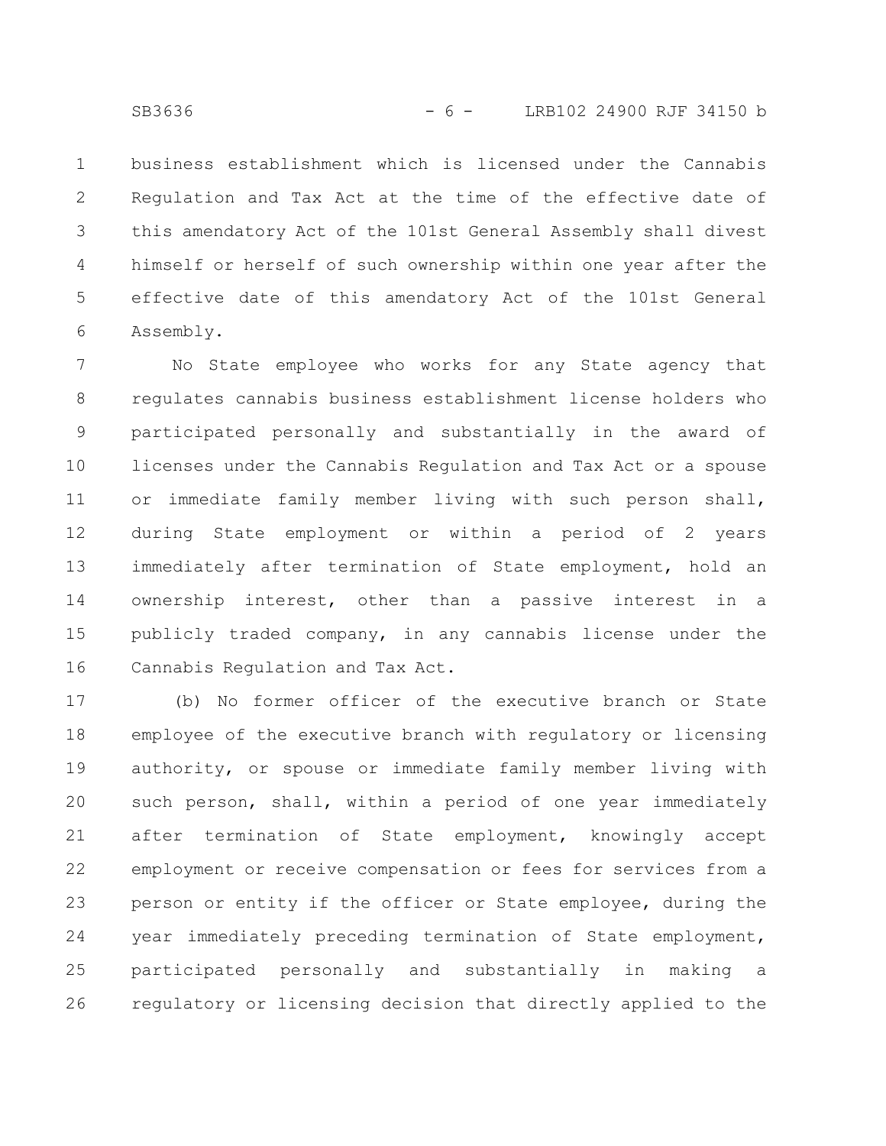business establishment which is licensed under the Cannabis Regulation and Tax Act at the time of the effective date of this amendatory Act of the 101st General Assembly shall divest himself or herself of such ownership within one year after the effective date of this amendatory Act of the 101st General Assembly. 1 2 3 4 5 6

No State employee who works for any State agency that regulates cannabis business establishment license holders who participated personally and substantially in the award of licenses under the Cannabis Regulation and Tax Act or a spouse or immediate family member living with such person shall, during State employment or within a period of 2 years immediately after termination of State employment, hold an ownership interest, other than a passive interest in a publicly traded company, in any cannabis license under the Cannabis Regulation and Tax Act. 7 8 9 10 11 12 13 14 15 16

(b) No former officer of the executive branch or State employee of the executive branch with regulatory or licensing authority, or spouse or immediate family member living with such person, shall, within a period of one year immediately after termination of State employment, knowingly accept employment or receive compensation or fees for services from a person or entity if the officer or State employee, during the year immediately preceding termination of State employment, participated personally and substantially in making a regulatory or licensing decision that directly applied to the 17 18 19 20 21 22 23 24 25 26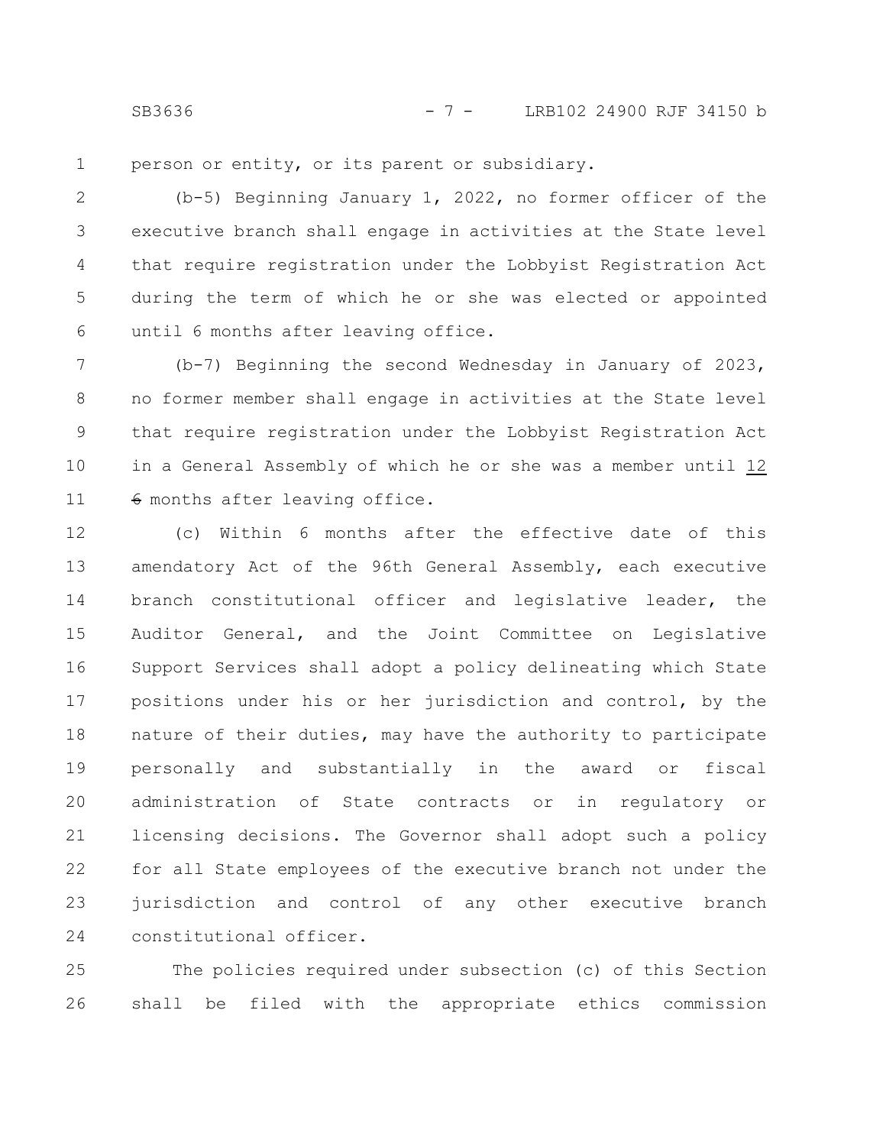SB3636 - 7 - LRB102 24900 RJF 34150 b

person or entity, or its parent or subsidiary. 1

(b-5) Beginning January 1, 2022, no former officer of the executive branch shall engage in activities at the State level that require registration under the Lobbyist Registration Act during the term of which he or she was elected or appointed until 6 months after leaving office. 2 3 4 5 6

(b-7) Beginning the second Wednesday in January of 2023, no former member shall engage in activities at the State level that require registration under the Lobbyist Registration Act in a General Assembly of which he or she was a member until 12 6 months after leaving office. 7 8 9 10 11

(c) Within 6 months after the effective date of this amendatory Act of the 96th General Assembly, each executive branch constitutional officer and legislative leader, the Auditor General, and the Joint Committee on Legislative Support Services shall adopt a policy delineating which State positions under his or her jurisdiction and control, by the nature of their duties, may have the authority to participate personally and substantially in the award or fiscal administration of State contracts or in regulatory or licensing decisions. The Governor shall adopt such a policy for all State employees of the executive branch not under the jurisdiction and control of any other executive branch constitutional officer. 12 13 14 15 16 17 18 19 20 21 22 23 24

The policies required under subsection (c) of this Section shall be filed with the appropriate ethics commission 25 26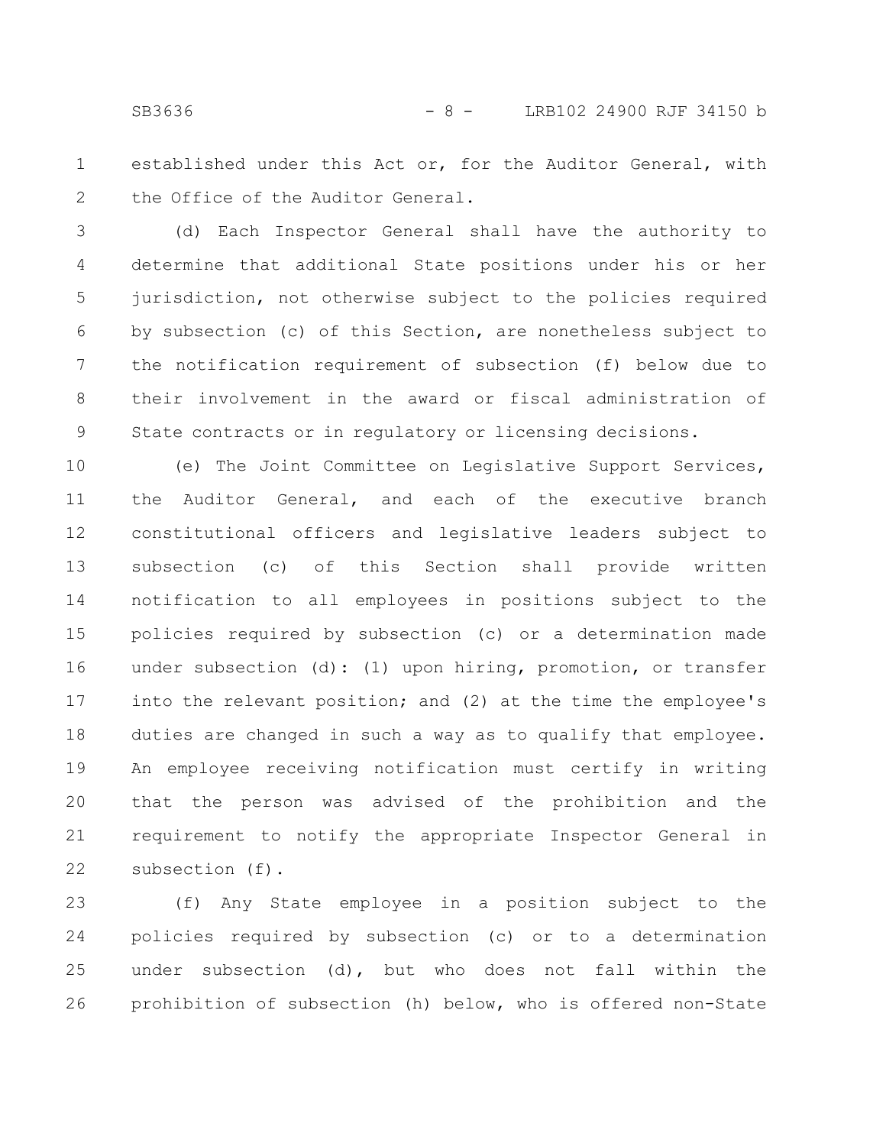established under this Act or, for the Auditor General, with the Office of the Auditor General. 1 2

(d) Each Inspector General shall have the authority to determine that additional State positions under his or her jurisdiction, not otherwise subject to the policies required by subsection (c) of this Section, are nonetheless subject to the notification requirement of subsection (f) below due to their involvement in the award or fiscal administration of State contracts or in regulatory or licensing decisions. 3 4 5 6 7 8 9

(e) The Joint Committee on Legislative Support Services, the Auditor General, and each of the executive branch constitutional officers and legislative leaders subject to subsection (c) of this Section shall provide written notification to all employees in positions subject to the policies required by subsection (c) or a determination made under subsection (d): (1) upon hiring, promotion, or transfer into the relevant position; and (2) at the time the employee's duties are changed in such a way as to qualify that employee. An employee receiving notification must certify in writing that the person was advised of the prohibition and the requirement to notify the appropriate Inspector General in subsection (f). 10 11 12 13 14 15 16 17 18 19 20 21 22

(f) Any State employee in a position subject to the policies required by subsection (c) or to a determination under subsection (d), but who does not fall within the prohibition of subsection (h) below, who is offered non-State 23 24 25 26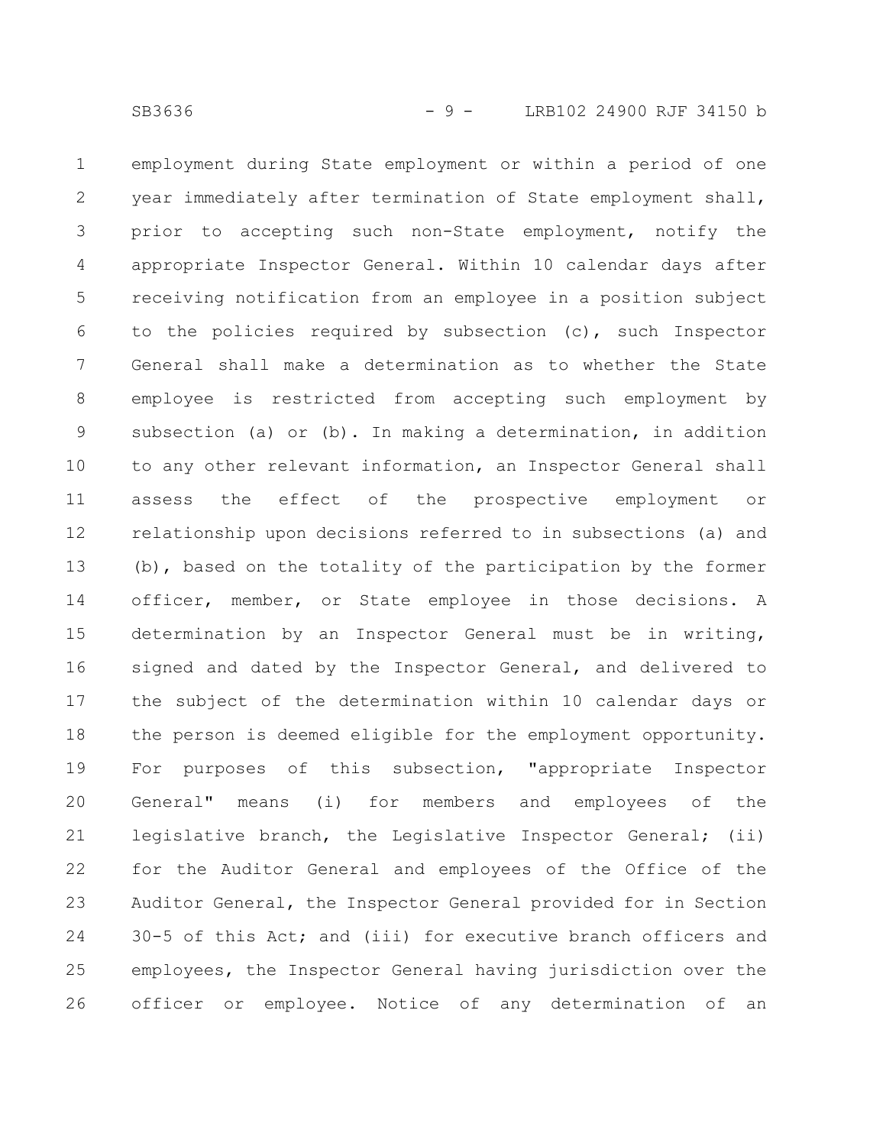employment during State employment or within a period of one year immediately after termination of State employment shall, prior to accepting such non-State employment, notify the appropriate Inspector General. Within 10 calendar days after receiving notification from an employee in a position subject to the policies required by subsection (c), such Inspector General shall make a determination as to whether the State employee is restricted from accepting such employment by subsection (a) or (b). In making a determination, in addition to any other relevant information, an Inspector General shall assess the effect of the prospective employment or relationship upon decisions referred to in subsections (a) and (b), based on the totality of the participation by the former officer, member, or State employee in those decisions. A determination by an Inspector General must be in writing, signed and dated by the Inspector General, and delivered to the subject of the determination within 10 calendar days or the person is deemed eligible for the employment opportunity. For purposes of this subsection, "appropriate Inspector General" means (i) for members and employees of the legislative branch, the Legislative Inspector General; (ii) for the Auditor General and employees of the Office of the Auditor General, the Inspector General provided for in Section 30-5 of this Act; and (iii) for executive branch officers and employees, the Inspector General having jurisdiction over the officer or employee. Notice of any determination of an 1 2 3 4 5 6 7 8 9 10 11 12 13 14 15 16 17 18 19 20 21 22 23 24 25 26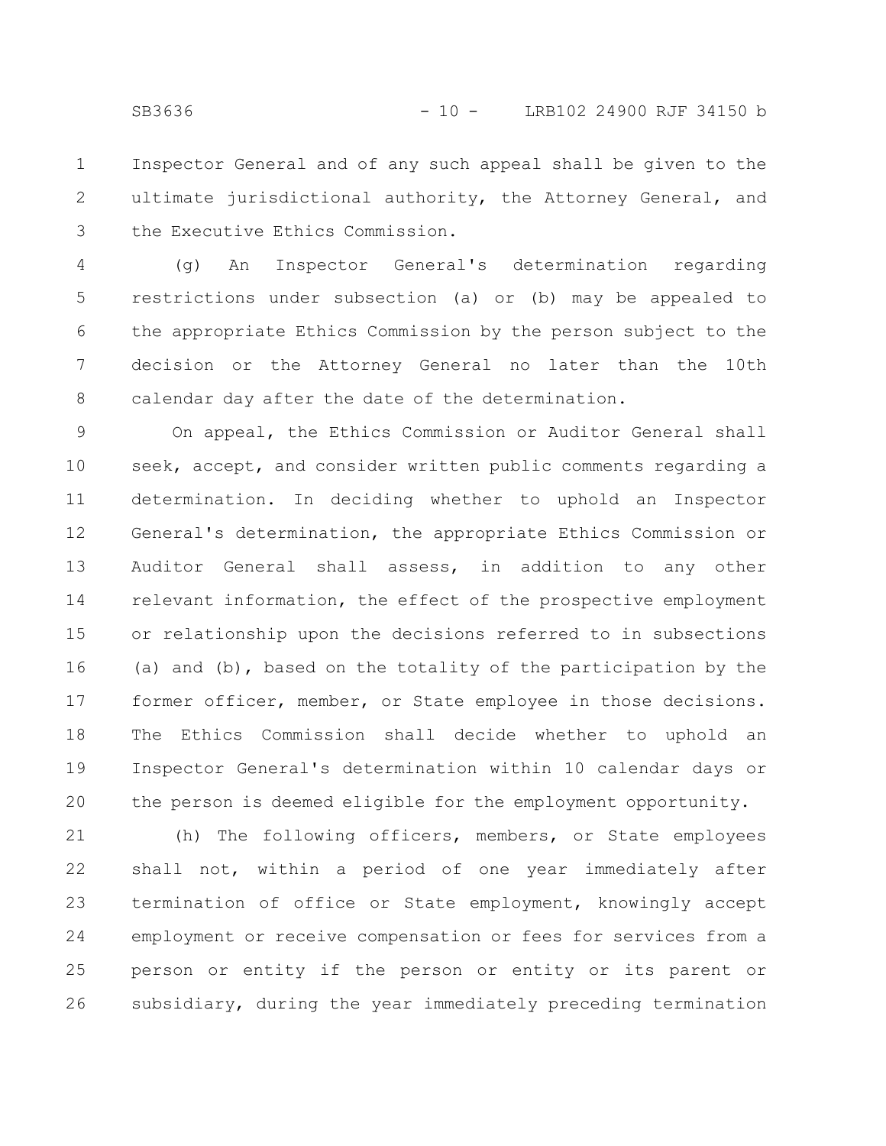Inspector General and of any such appeal shall be given to the ultimate jurisdictional authority, the Attorney General, and the Executive Ethics Commission. 1 2 3

(g) An Inspector General's determination regarding restrictions under subsection (a) or (b) may be appealed to the appropriate Ethics Commission by the person subject to the decision or the Attorney General no later than the 10th calendar day after the date of the determination. 4 5 6 7 8

On appeal, the Ethics Commission or Auditor General shall seek, accept, and consider written public comments regarding a determination. In deciding whether to uphold an Inspector General's determination, the appropriate Ethics Commission or Auditor General shall assess, in addition to any other relevant information, the effect of the prospective employment or relationship upon the decisions referred to in subsections (a) and (b), based on the totality of the participation by the former officer, member, or State employee in those decisions. The Ethics Commission shall decide whether to uphold an Inspector General's determination within 10 calendar days or the person is deemed eligible for the employment opportunity. 9 10 11 12 13 14 15 16 17 18 19 20

(h) The following officers, members, or State employees shall not, within a period of one year immediately after termination of office or State employment, knowingly accept employment or receive compensation or fees for services from a person or entity if the person or entity or its parent or subsidiary, during the year immediately preceding termination 21 22 23 24 25 26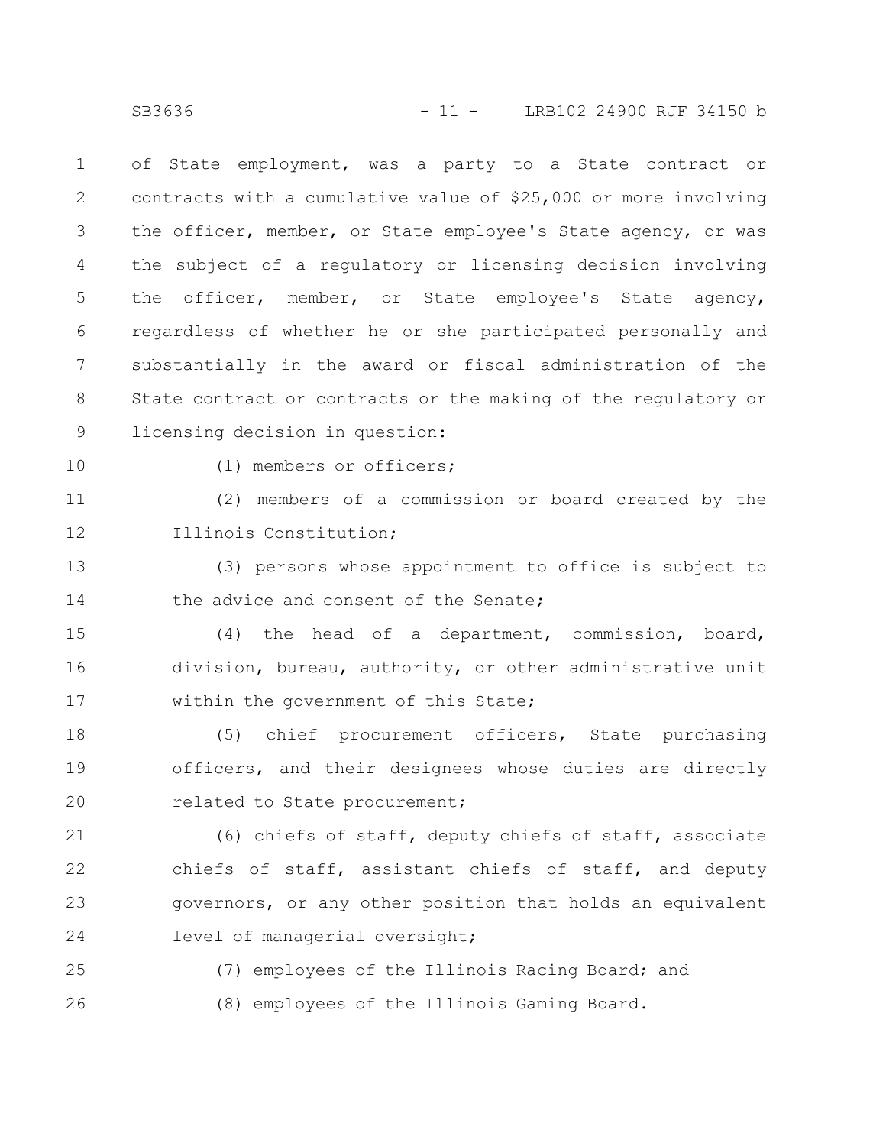of State employment, was a party to a State contract or contracts with a cumulative value of \$25,000 or more involving the officer, member, or State employee's State agency, or was the subject of a regulatory or licensing decision involving the officer, member, or State employee's State agency, regardless of whether he or she participated personally and substantially in the award or fiscal administration of the State contract or contracts or the making of the regulatory or licensing decision in question: 1 2 3 4 5 6 7 8 9

10

(1) members or officers;

(2) members of a commission or board created by the Illinois Constitution; 11 12

(3) persons whose appointment to office is subject to the advice and consent of the Senate; 13 14

(4) the head of a department, commission, board, division, bureau, authority, or other administrative unit within the government of this State; 15 16 17

(5) chief procurement officers, State purchasing officers, and their designees whose duties are directly related to State procurement; 18 19 20

(6) chiefs of staff, deputy chiefs of staff, associate chiefs of staff, assistant chiefs of staff, and deputy governors, or any other position that holds an equivalent level of managerial oversight; 21 22 23 24

(7) employees of the Illinois Racing Board; and (8) employees of the Illinois Gaming Board. 25 26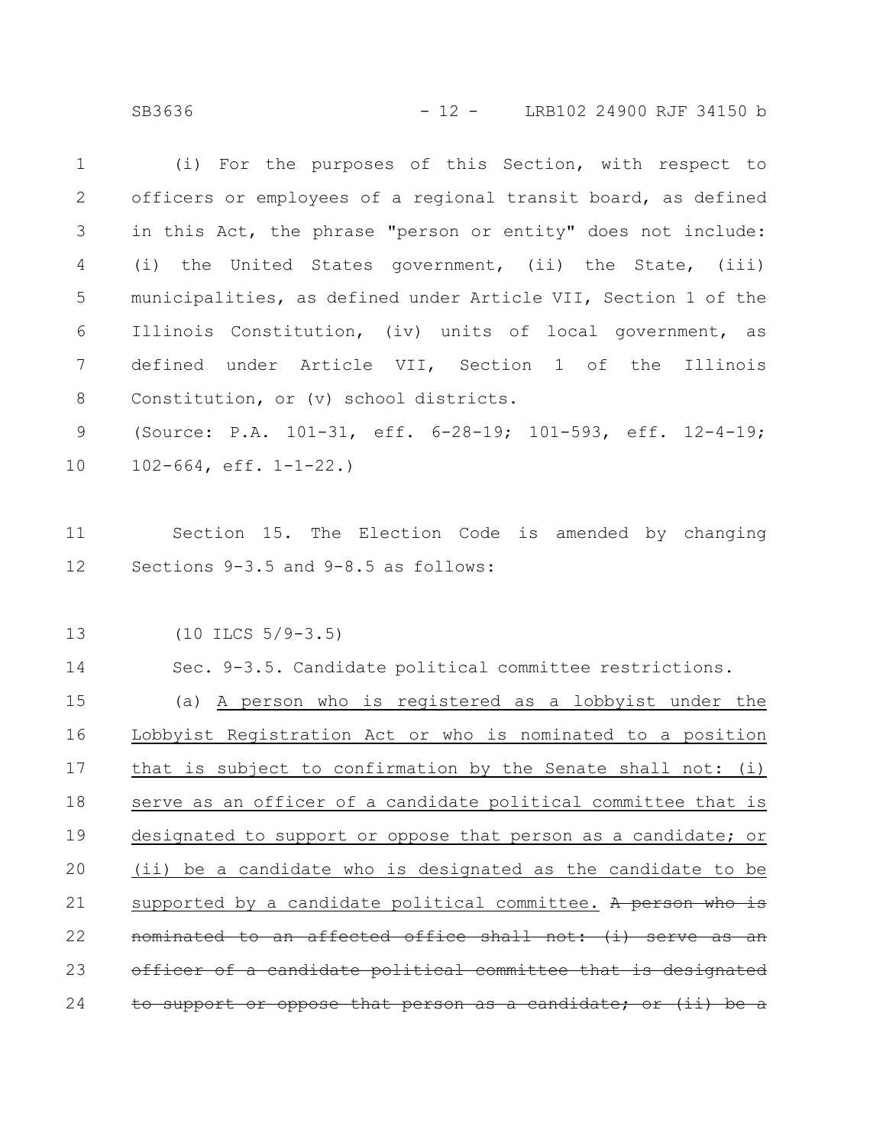SB3636 - 12 - LRB102 24900 RJF 34150 b

| $\mathbf 1$ | (i) For the purposes of this Section, with respect to                 |  |  |
|-------------|-----------------------------------------------------------------------|--|--|
| 2           | officers or employees of a regional transit board, as defined         |  |  |
| 3           | in this Act, the phrase "person or entity" does not include:          |  |  |
| 4           | (i) the United States government, (ii) the State, (iii)               |  |  |
| 5           | municipalities, as defined under Article VII, Section 1 of the        |  |  |
| $6\,$       | Illinois Constitution, (iv) units of local government, as             |  |  |
| 7           | defined under Article VII, Section 1 of the Illinois                  |  |  |
| $8\,$       | Constitution, or (v) school districts.                                |  |  |
| $\mathsf 9$ | (Source: P.A. 101-31, eff. 6-28-19; 101-593, eff. 12-4-19;            |  |  |
| 10          | $102 - 664$ , eff. $1 - 1 - 22$ .)                                    |  |  |
|             |                                                                       |  |  |
| 11          | Section 15. The Election Code is amended by changing                  |  |  |
| 12          | Sections 9-3.5 and 9-8.5 as follows:                                  |  |  |
|             |                                                                       |  |  |
| 13          | $(10$ ILCS $5/9-3.5)$                                                 |  |  |
| 14          | Sec. 9-3.5. Candidate political committee restrictions.               |  |  |
| 15          | (a) A person who is registered as a lobbyist under the                |  |  |
| 16          | Lobbyist Registration Act or who is nominated to a position           |  |  |
| 17          | that is subject to confirmation by the Senate shall not: (i)          |  |  |
| 18          | serve as an officer of a candidate political committee that is        |  |  |
| 19          | designated to support or oppose that person as a candidate; or        |  |  |
| 20          | (ii) be a candidate who is designated as the candidate to be          |  |  |
| 21          | supported by a candidate political committee. A person who<br>$\pm$ ə |  |  |
| 22          | to an affected office shall not: (i) serve<br>-as<br><del>an</del>    |  |  |
| 23          | a candidate political committee that is designated<br>⊖£              |  |  |
| 24          | support or oppose that person as a candidate; or (ii) be a            |  |  |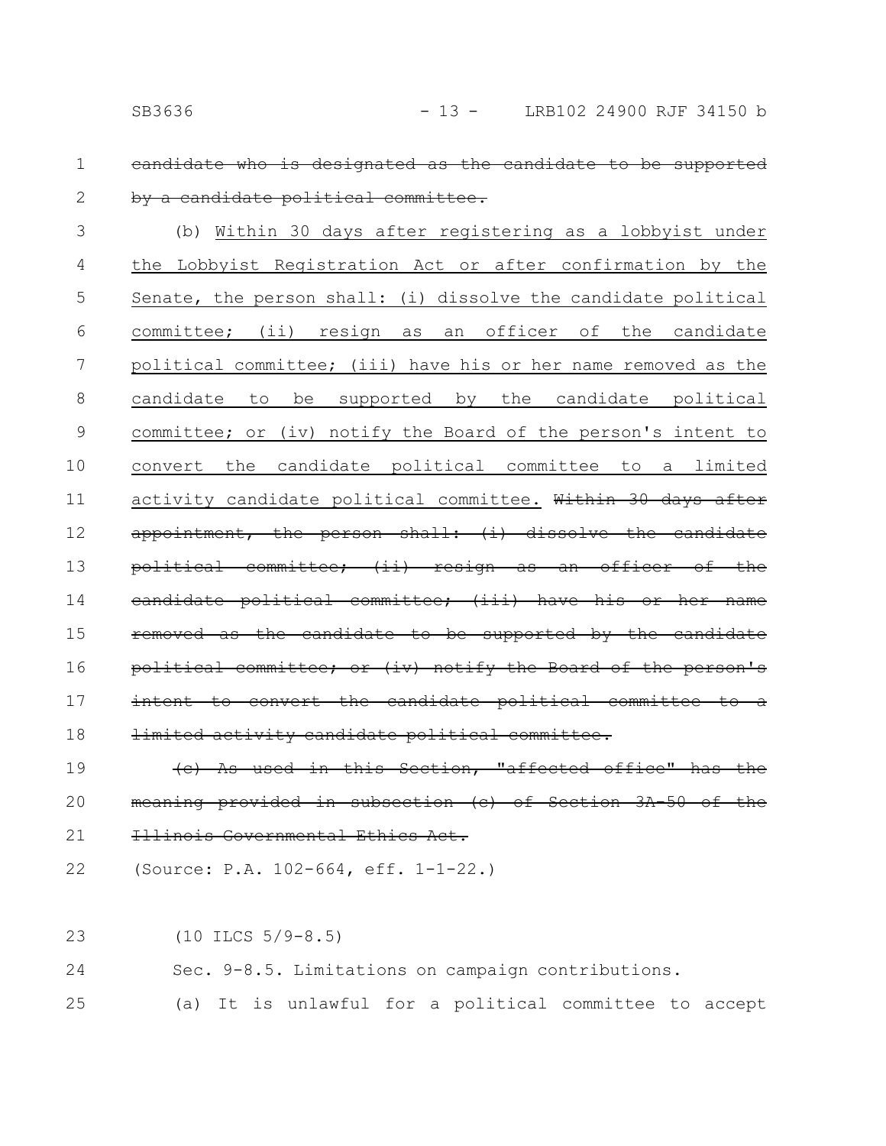1

2

# candidate who is designated as the candidate by a candidate political committee.

(b) Within 30 days after registering as a lobbyist under the Lobbyist Registration Act or after confirmation by the Senate, the person shall: (i) dissolve the candidate political committee; (ii) resign as an officer of the candidate political committee; (iii) have his or her name removed as the candidate to be supported by the candidate political committee; or (iv) notify the Board of the person's intent to convert the candidate political committee to a limited activity candidate political committee. Within 30 days after appointment, the person shall: (i) dissolve the candidate political committee; (ii) resign as an offi eandidate political committee; (iii) have his removed as the candidate to be supported by the political committee; or (iv) notify the Board of the person's intent to convert the candidate political committee limited activity candidate political committe 3 4 5 6 7 8 9 10 11 12 13 14 15 16 17 18

(c) As used in this Section, "affected office" has provided in subsection (c) of Section 3A-50 Illinois Governmental Ethics Act. 19 20 21

(Source: P.A. 102-664, eff. 1-1-22.) 22

(10 ILCS 5/9-8.5) 23

Sec. 9-8.5. Limitations on campaign contributions. 24

(a) It is unlawful for a political committee to accept 25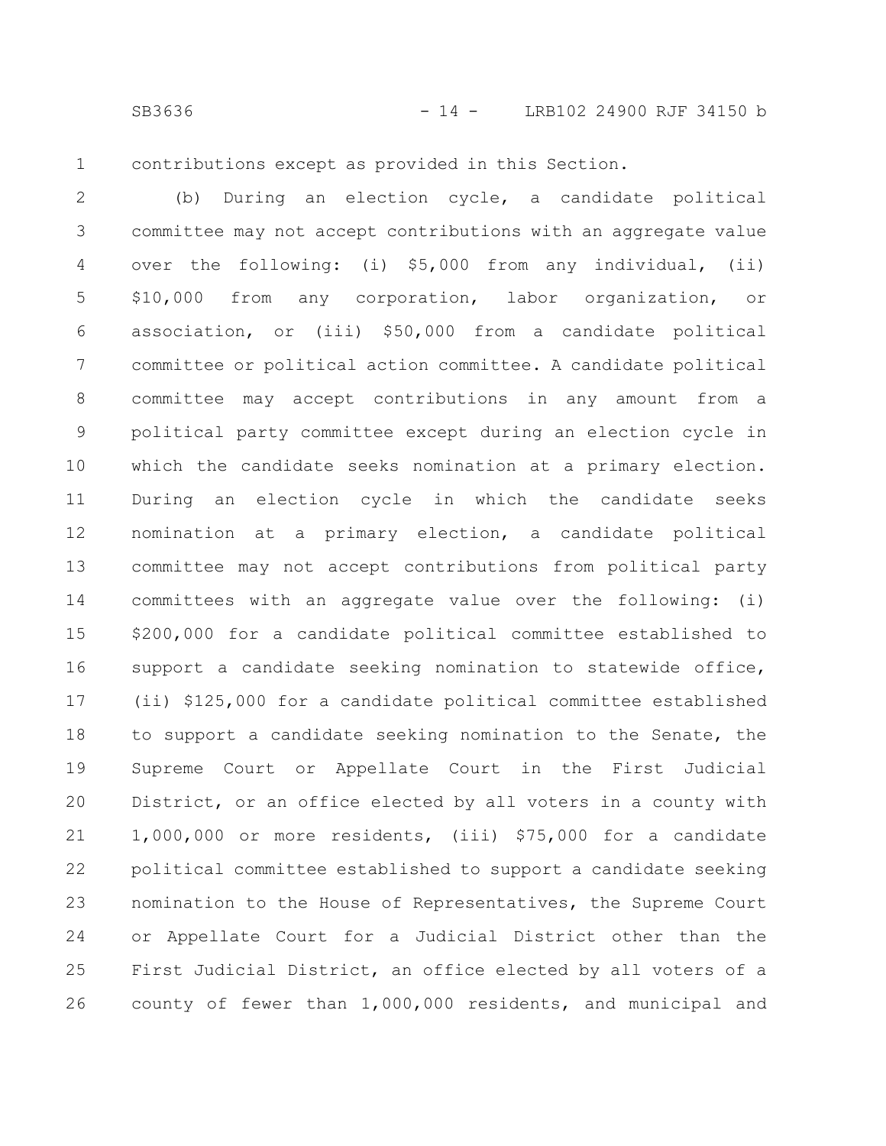1

contributions except as provided in this Section.

(b) During an election cycle, a candidate political committee may not accept contributions with an aggregate value over the following: (i) \$5,000 from any individual, (ii) \$10,000 from any corporation, labor organization, or association, or (iii) \$50,000 from a candidate political committee or political action committee. A candidate political committee may accept contributions in any amount from a political party committee except during an election cycle in which the candidate seeks nomination at a primary election. During an election cycle in which the candidate seeks nomination at a primary election, a candidate political committee may not accept contributions from political party committees with an aggregate value over the following: (i) \$200,000 for a candidate political committee established to support a candidate seeking nomination to statewide office, (ii) \$125,000 for a candidate political committee established to support a candidate seeking nomination to the Senate, the Supreme Court or Appellate Court in the First Judicial District, or an office elected by all voters in a county with 1,000,000 or more residents, (iii) \$75,000 for a candidate political committee established to support a candidate seeking nomination to the House of Representatives, the Supreme Court or Appellate Court for a Judicial District other than the First Judicial District, an office elected by all voters of a county of fewer than 1,000,000 residents, and municipal and 2 3 4 5 6 7 8 9 10 11 12 13 14 15 16 17 18 19 20 21 22 23 24 25 26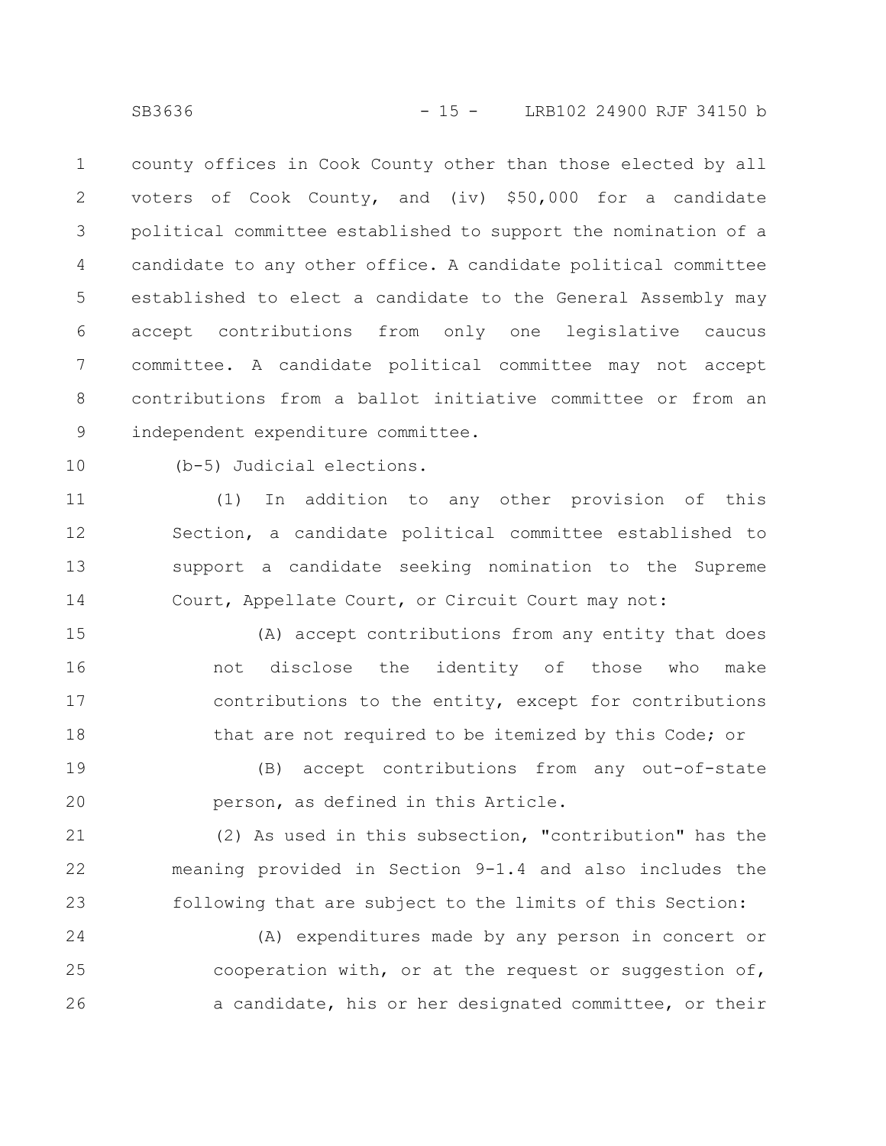county offices in Cook County other than those elected by all voters of Cook County, and (iv) \$50,000 for a candidate political committee established to support the nomination of a candidate to any other office. A candidate political committee established to elect a candidate to the General Assembly may accept contributions from only one legislative caucus committee. A candidate political committee may not accept contributions from a ballot initiative committee or from an independent expenditure committee. 1 2 3 4 5 6 7 8 9

10

(b-5) Judicial elections.

(1) In addition to any other provision of this Section, a candidate political committee established to support a candidate seeking nomination to the Supreme Court, Appellate Court, or Circuit Court may not: 11 12 13 14

(A) accept contributions from any entity that does not disclose the identity of those who make contributions to the entity, except for contributions that are not required to be itemized by this Code; or 15 16 17 18

(B) accept contributions from any out-of-state person, as defined in this Article. 19 20

(2) As used in this subsection, "contribution" has the meaning provided in Section 9-1.4 and also includes the following that are subject to the limits of this Section: 21 22 23

(A) expenditures made by any person in concert or cooperation with, or at the request or suggestion of, a candidate, his or her designated committee, or their 24 25 26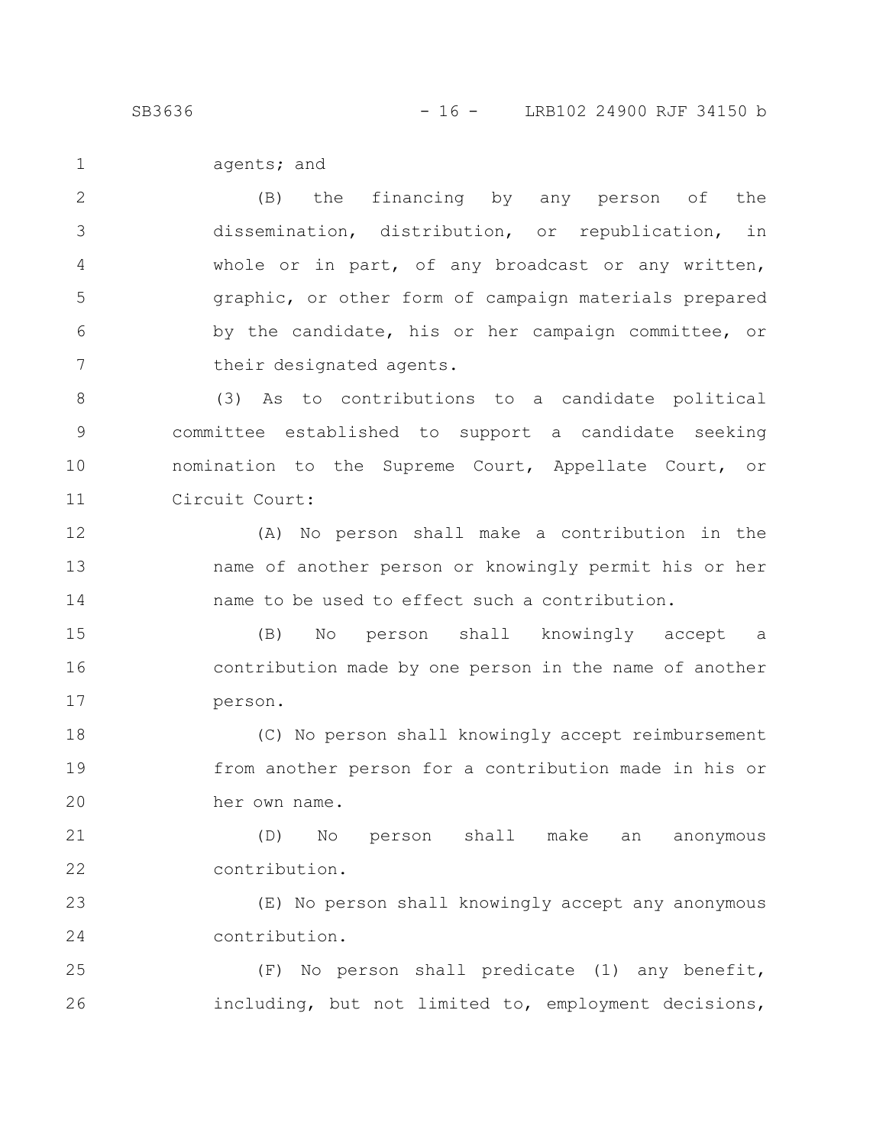SB3636 - 16 - LRB102 24900 RJF 34150 b

agents; and 1

(B) the financing by any person of the dissemination, distribution, or republication, in whole or in part, of any broadcast or any written, graphic, or other form of campaign materials prepared by the candidate, his or her campaign committee, or their designated agents. 2 3 4 5 6 7

(3) As to contributions to a candidate political committee established to support a candidate seeking nomination to the Supreme Court, Appellate Court, or Circuit Court: 8 9 10 11

(A) No person shall make a contribution in the name of another person or knowingly permit his or her name to be used to effect such a contribution. 12 13 14

(B) No person shall knowingly accept a contribution made by one person in the name of another person. 15 16 17

(C) No person shall knowingly accept reimbursement from another person for a contribution made in his or her own name. 18 19 20

(D) No person shall make an anonymous contribution. 21 22

(E) No person shall knowingly accept any anonymous contribution. 23 24

(F) No person shall predicate (1) any benefit, including, but not limited to, employment decisions, 25 26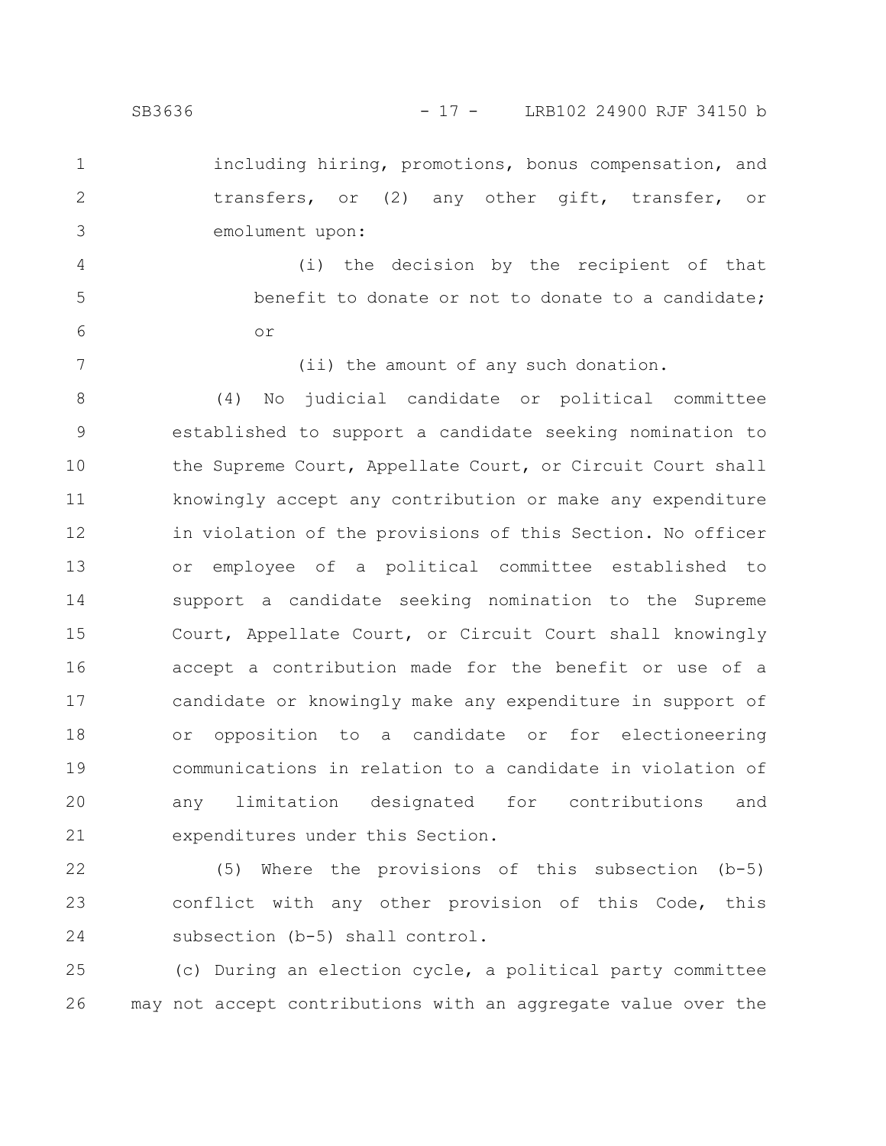1

2

3

4

5

6

7

including hiring, promotions, bonus compensation, and transfers, or (2) any other gift, transfer, or emolument upon:

(i) the decision by the recipient of that benefit to donate or not to donate to a candidate; or

(ii) the amount of any such donation.

(4) No judicial candidate or political committee established to support a candidate seeking nomination to the Supreme Court, Appellate Court, or Circuit Court shall knowingly accept any contribution or make any expenditure in violation of the provisions of this Section. No officer or employee of a political committee established to support a candidate seeking nomination to the Supreme Court, Appellate Court, or Circuit Court shall knowingly accept a contribution made for the benefit or use of a candidate or knowingly make any expenditure in support of or opposition to a candidate or for electioneering communications in relation to a candidate in violation of any limitation designated for contributions and expenditures under this Section. 8 9 10 11 12 13 14 15 16 17 18 19 20 21

(5) Where the provisions of this subsection (b-5) conflict with any other provision of this Code, this subsection (b-5) shall control. 22 23 24

(c) During an election cycle, a political party committee may not accept contributions with an aggregate value over the 25 26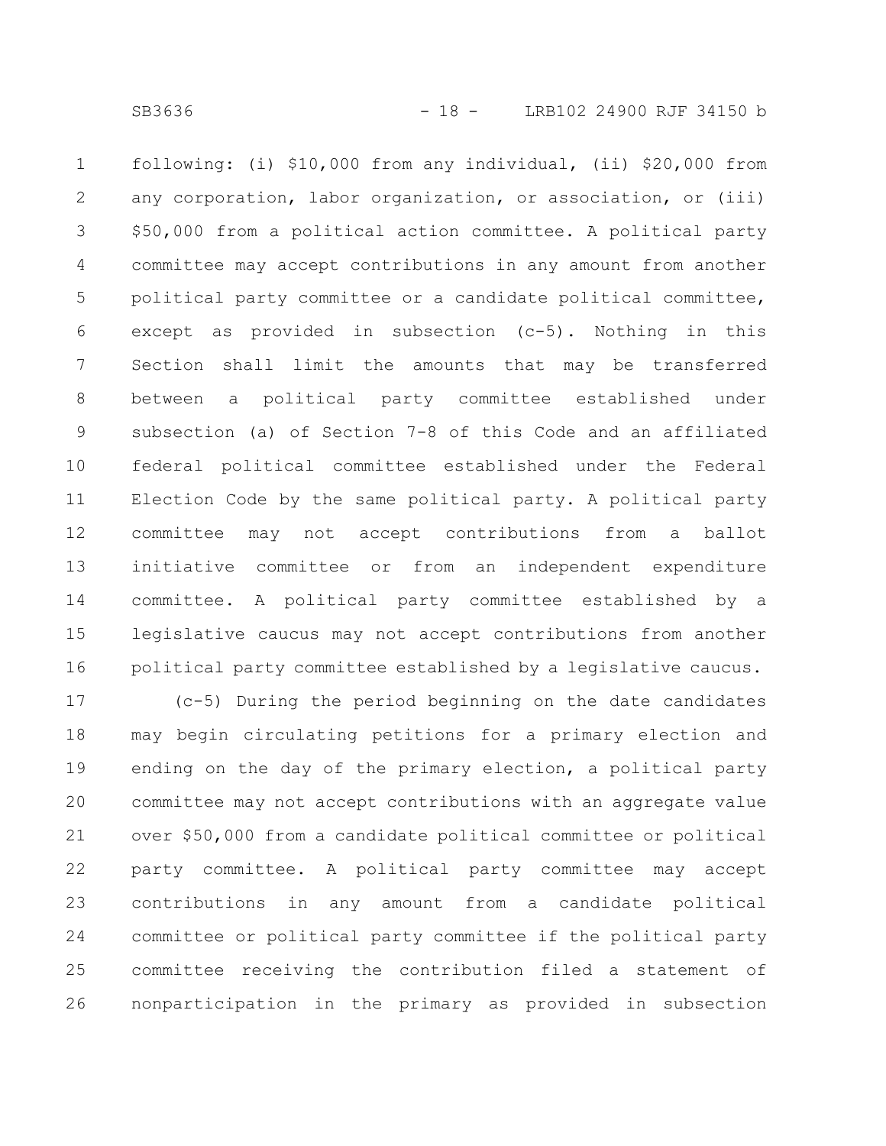following: (i) \$10,000 from any individual, (ii) \$20,000 from any corporation, labor organization, or association, or (iii) \$50,000 from a political action committee. A political party committee may accept contributions in any amount from another political party committee or a candidate political committee, except as provided in subsection (c-5). Nothing in this Section shall limit the amounts that may be transferred between a political party committee established under subsection (a) of Section 7-8 of this Code and an affiliated federal political committee established under the Federal Election Code by the same political party. A political party committee may not accept contributions from a ballot initiative committee or from an independent expenditure committee. A political party committee established by a legislative caucus may not accept contributions from another political party committee established by a legislative caucus. 1 2 3 4 5 6 7 8 9 10 11 12 13 14 15 16

(c-5) During the period beginning on the date candidates may begin circulating petitions for a primary election and ending on the day of the primary election, a political party committee may not accept contributions with an aggregate value over \$50,000 from a candidate political committee or political party committee. A political party committee may accept contributions in any amount from a candidate political committee or political party committee if the political party committee receiving the contribution filed a statement of nonparticipation in the primary as provided in subsection 17 18 19 20 21 22 23 24 25 26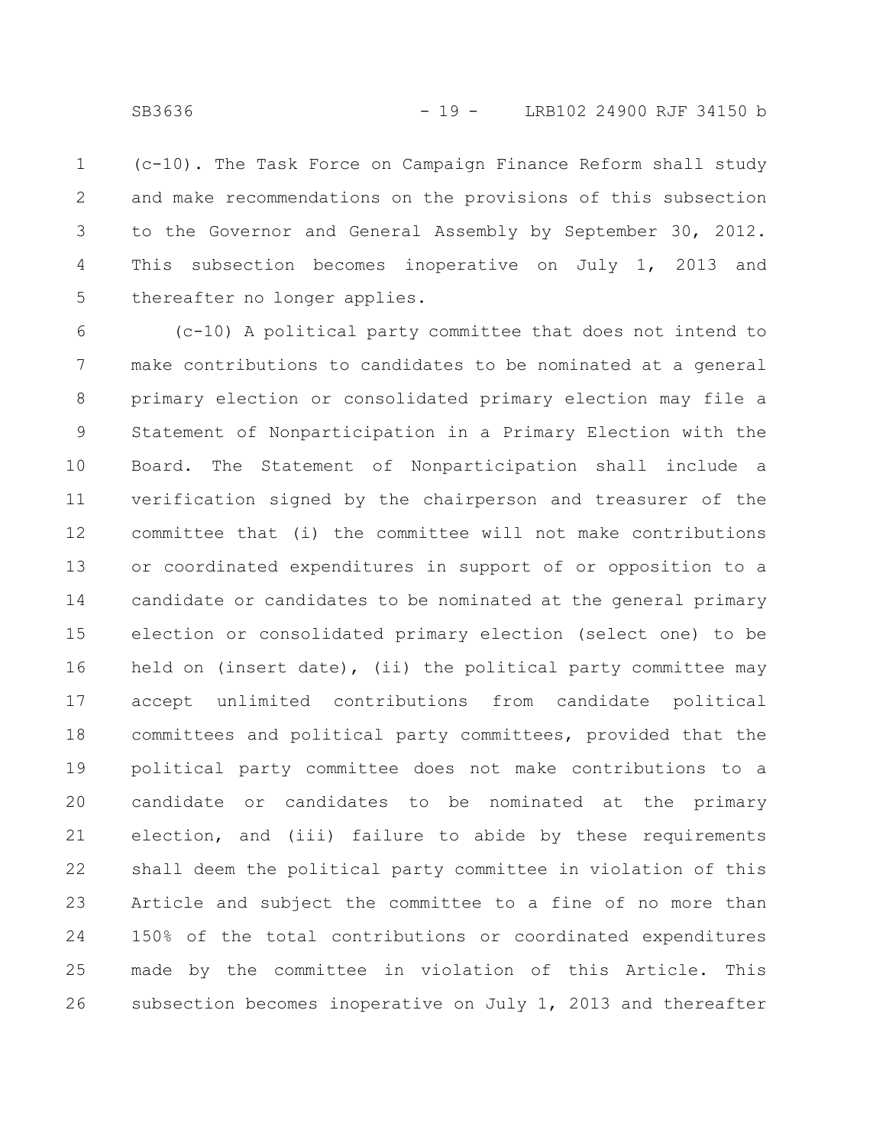(c-10). The Task Force on Campaign Finance Reform shall study and make recommendations on the provisions of this subsection to the Governor and General Assembly by September 30, 2012. This subsection becomes inoperative on July 1, 2013 and thereafter no longer applies. 1 2 3 4 5

(c-10) A political party committee that does not intend to make contributions to candidates to be nominated at a general primary election or consolidated primary election may file a Statement of Nonparticipation in a Primary Election with the Board. The Statement of Nonparticipation shall include a verification signed by the chairperson and treasurer of the committee that (i) the committee will not make contributions or coordinated expenditures in support of or opposition to a candidate or candidates to be nominated at the general primary election or consolidated primary election (select one) to be held on (insert date), (ii) the political party committee may accept unlimited contributions from candidate political committees and political party committees, provided that the political party committee does not make contributions to a candidate or candidates to be nominated at the primary election, and (iii) failure to abide by these requirements shall deem the political party committee in violation of this Article and subject the committee to a fine of no more than 150% of the total contributions or coordinated expenditures made by the committee in violation of this Article. This subsection becomes inoperative on July 1, 2013 and thereafter 6 7 8 9 10 11 12 13 14 15 16 17 18 19 20 21 22 23 24 25 26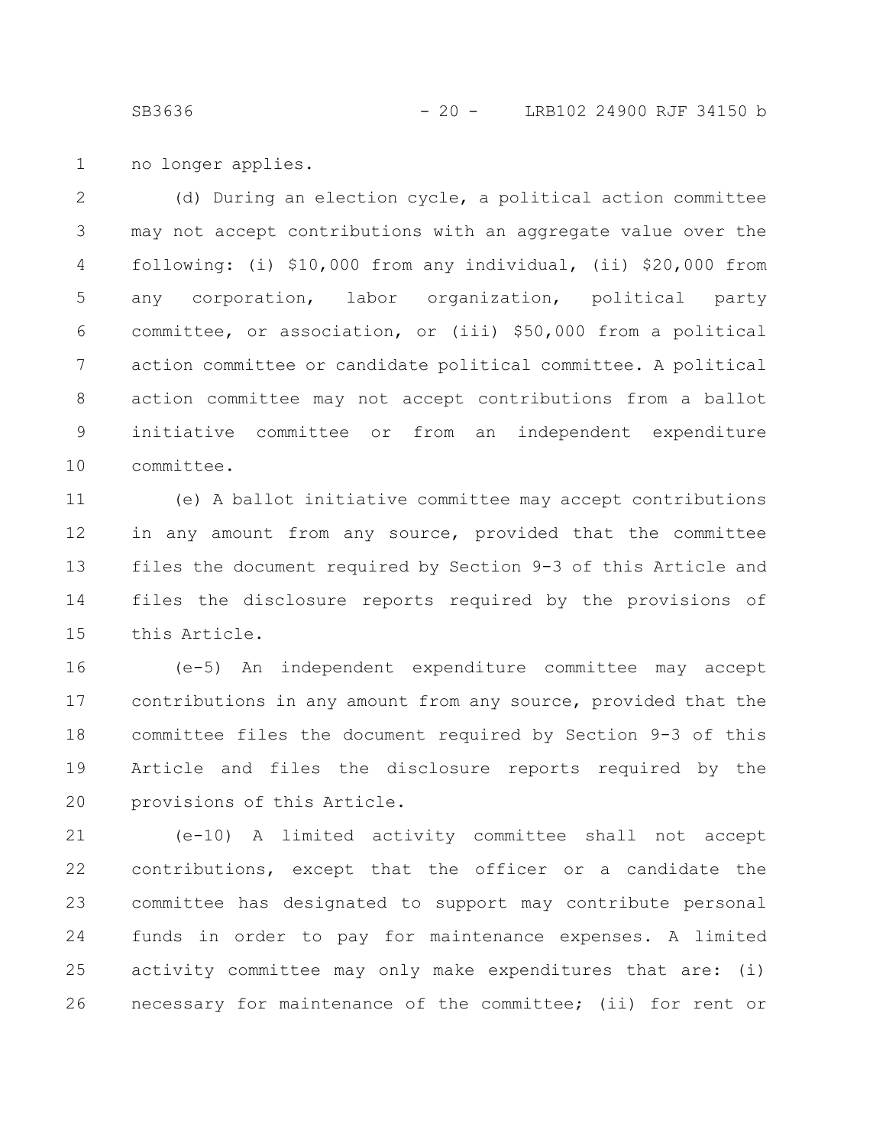no longer applies. 1

(d) During an election cycle, a political action committee may not accept contributions with an aggregate value over the following: (i) \$10,000 from any individual, (ii) \$20,000 from any corporation, labor organization, political party committee, or association, or (iii) \$50,000 from a political action committee or candidate political committee. A political action committee may not accept contributions from a ballot initiative committee or from an independent expenditure committee. 2 3 4 5 6 7 8 9 10

(e) A ballot initiative committee may accept contributions in any amount from any source, provided that the committee files the document required by Section 9-3 of this Article and files the disclosure reports required by the provisions of this Article. 11 12 13 14 15

(e-5) An independent expenditure committee may accept contributions in any amount from any source, provided that the committee files the document required by Section 9-3 of this Article and files the disclosure reports required by the provisions of this Article. 16 17 18 19 20

(e-10) A limited activity committee shall not accept contributions, except that the officer or a candidate the committee has designated to support may contribute personal funds in order to pay for maintenance expenses. A limited activity committee may only make expenditures that are: (i) necessary for maintenance of the committee; (ii) for rent or 21 22 23 24 25 26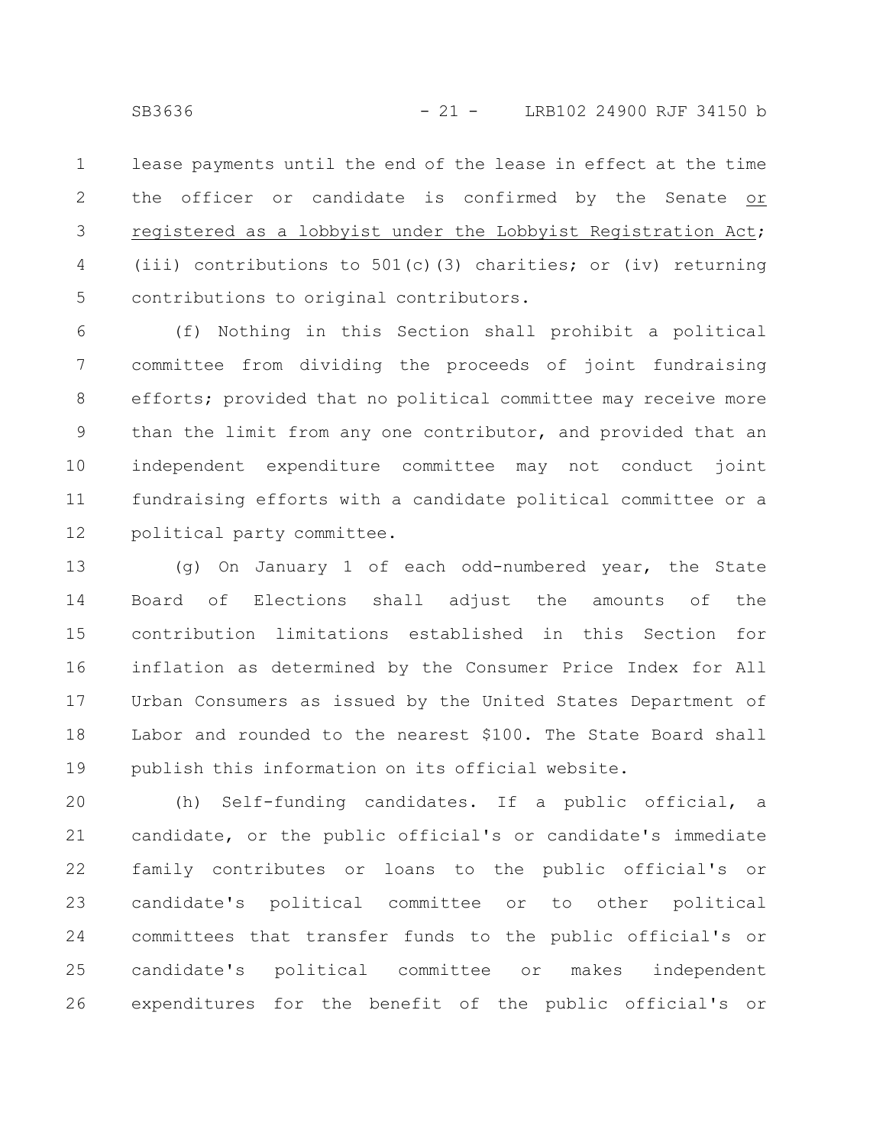lease payments until the end of the lease in effect at the time the officer or candidate is confirmed by the Senate or registered as a lobbyist under the Lobbyist Registration Act; (iii) contributions to  $501(c)$  (3) charities; or (iv) returning contributions to original contributors. 1 2 3 4 5

(f) Nothing in this Section shall prohibit a political committee from dividing the proceeds of joint fundraising efforts; provided that no political committee may receive more than the limit from any one contributor, and provided that an independent expenditure committee may not conduct joint fundraising efforts with a candidate political committee or a political party committee. 6 7 8 9 10 11 12

(g) On January 1 of each odd-numbered year, the State Board of Elections shall adjust the amounts of the contribution limitations established in this Section for inflation as determined by the Consumer Price Index for All Urban Consumers as issued by the United States Department of Labor and rounded to the nearest \$100. The State Board shall publish this information on its official website. 13 14 15 16 17 18 19

(h) Self-funding candidates. If a public official, a candidate, or the public official's or candidate's immediate family contributes or loans to the public official's or candidate's political committee or to other political committees that transfer funds to the public official's or candidate's political committee or makes independent expenditures for the benefit of the public official's or 20 21 22 23 24 25 26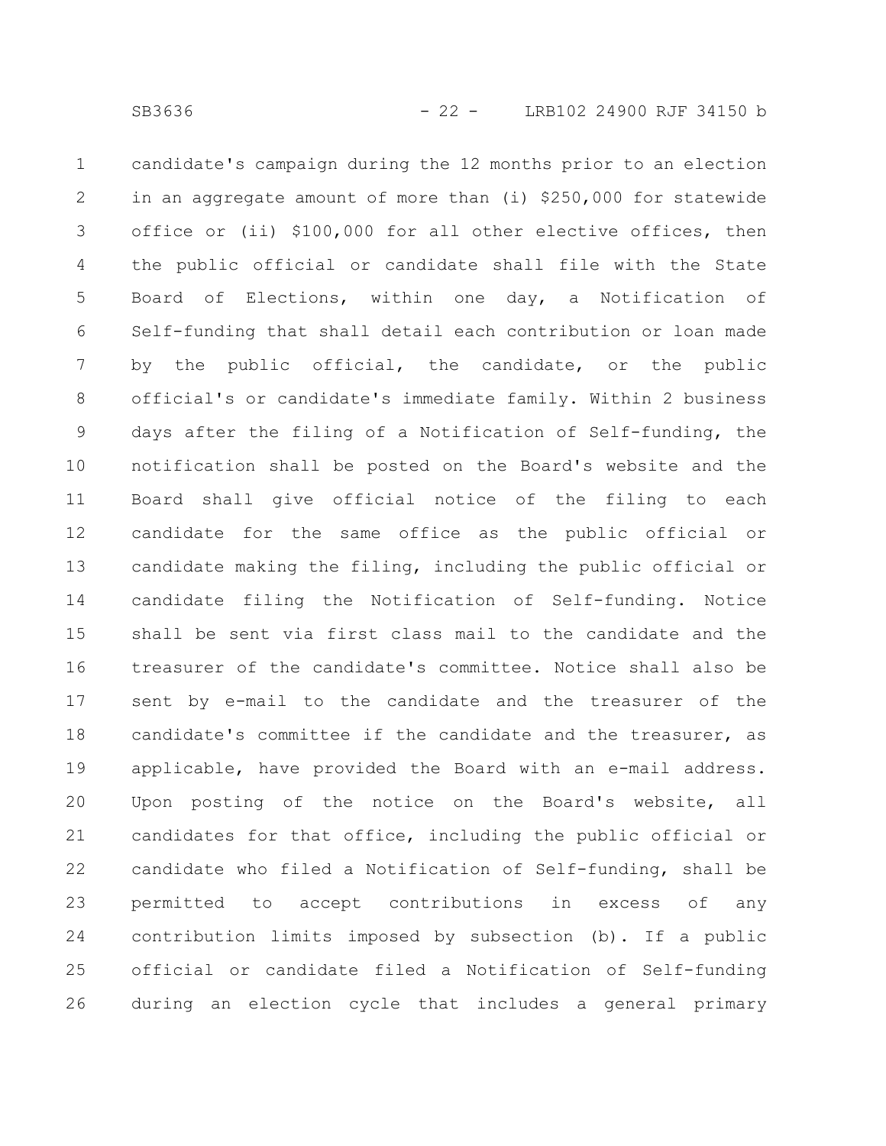candidate's campaign during the 12 months prior to an election in an aggregate amount of more than (i) \$250,000 for statewide office or (ii) \$100,000 for all other elective offices, then the public official or candidate shall file with the State Board of Elections, within one day, a Notification of Self-funding that shall detail each contribution or loan made by the public official, the candidate, or the public official's or candidate's immediate family. Within 2 business days after the filing of a Notification of Self-funding, the notification shall be posted on the Board's website and the Board shall give official notice of the filing to each candidate for the same office as the public official or candidate making the filing, including the public official or candidate filing the Notification of Self-funding. Notice shall be sent via first class mail to the candidate and the treasurer of the candidate's committee. Notice shall also be sent by e-mail to the candidate and the treasurer of the candidate's committee if the candidate and the treasurer, as applicable, have provided the Board with an e-mail address. Upon posting of the notice on the Board's website, all candidates for that office, including the public official or candidate who filed a Notification of Self-funding, shall be permitted to accept contributions in excess of any contribution limits imposed by subsection (b). If a public official or candidate filed a Notification of Self-funding during an election cycle that includes a general primary 1 2 3 4 5 6 7 8 9 10 11 12 13 14 15 16 17 18 19 20 21 22 23 24 25 26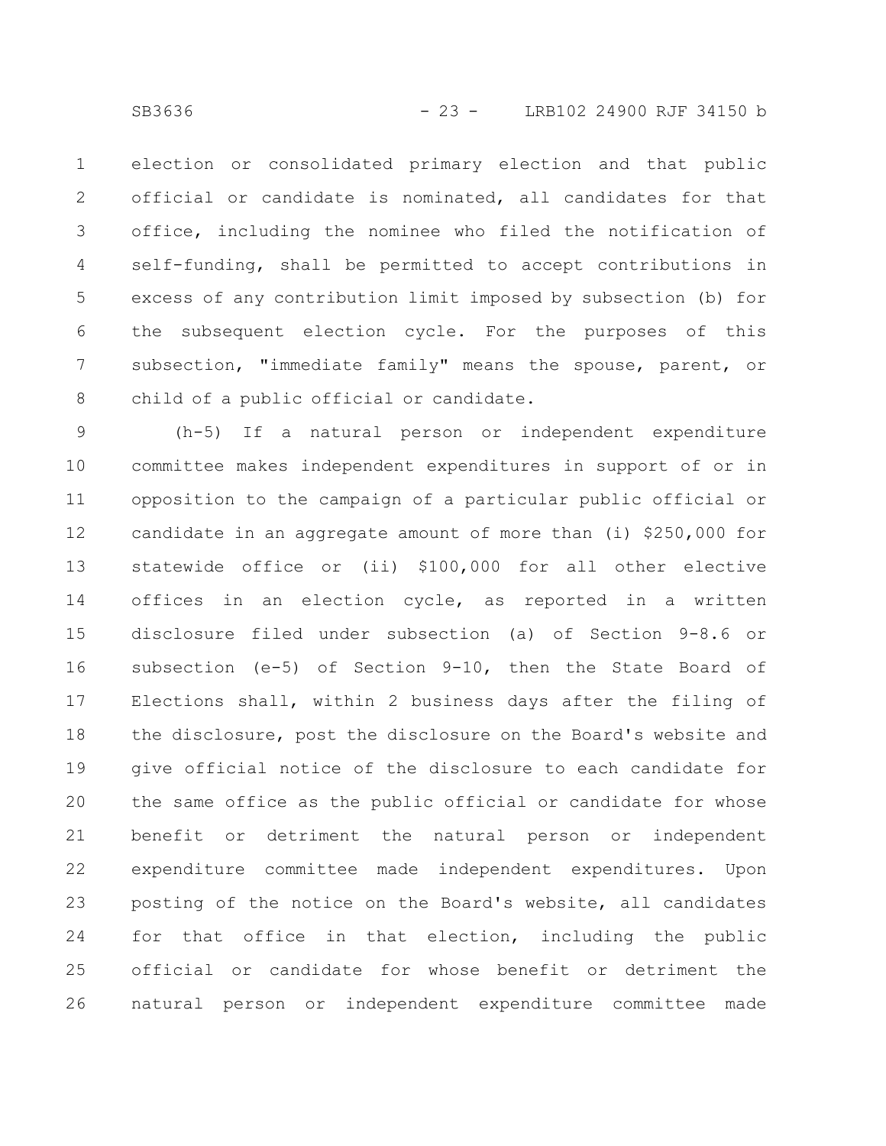election or consolidated primary election and that public official or candidate is nominated, all candidates for that office, including the nominee who filed the notification of self-funding, shall be permitted to accept contributions in excess of any contribution limit imposed by subsection (b) for the subsequent election cycle. For the purposes of this subsection, "immediate family" means the spouse, parent, or child of a public official or candidate. 1 2 3 4 5 6 7 8

(h-5) If a natural person or independent expenditure committee makes independent expenditures in support of or in opposition to the campaign of a particular public official or candidate in an aggregate amount of more than (i) \$250,000 for statewide office or (ii) \$100,000 for all other elective offices in an election cycle, as reported in a written disclosure filed under subsection (a) of Section 9-8.6 or subsection (e-5) of Section 9-10, then the State Board of Elections shall, within 2 business days after the filing of the disclosure, post the disclosure on the Board's website and give official notice of the disclosure to each candidate for the same office as the public official or candidate for whose benefit or detriment the natural person or independent expenditure committee made independent expenditures. Upon posting of the notice on the Board's website, all candidates for that office in that election, including the public official or candidate for whose benefit or detriment the natural person or independent expenditure committee made 9 10 11 12 13 14 15 16 17 18 19 20 21 22 23 24 25 26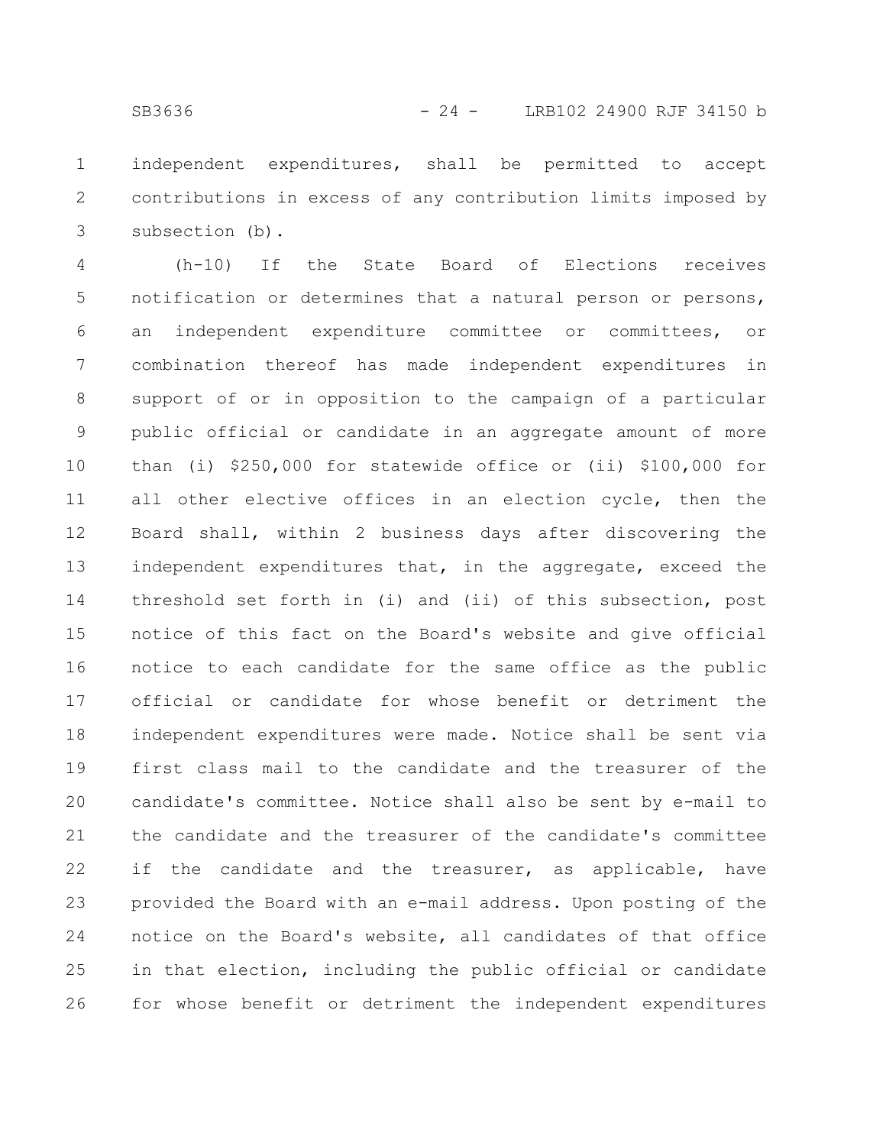independent expenditures, shall be permitted to accept contributions in excess of any contribution limits imposed by subsection (b). 1 2 3

(h-10) If the State Board of Elections receives notification or determines that a natural person or persons, an independent expenditure committee or committees, or combination thereof has made independent expenditures in support of or in opposition to the campaign of a particular public official or candidate in an aggregate amount of more than (i) \$250,000 for statewide office or (ii) \$100,000 for all other elective offices in an election cycle, then the Board shall, within 2 business days after discovering the independent expenditures that, in the aggregate, exceed the threshold set forth in (i) and (ii) of this subsection, post notice of this fact on the Board's website and give official notice to each candidate for the same office as the public official or candidate for whose benefit or detriment the independent expenditures were made. Notice shall be sent via first class mail to the candidate and the treasurer of the candidate's committee. Notice shall also be sent by e-mail to the candidate and the treasurer of the candidate's committee if the candidate and the treasurer, as applicable, have provided the Board with an e-mail address. Upon posting of the notice on the Board's website, all candidates of that office in that election, including the public official or candidate for whose benefit or detriment the independent expenditures 4 5 6 7 8 9 10 11 12 13 14 15 16 17 18 19 20 21 22 23 24 25 26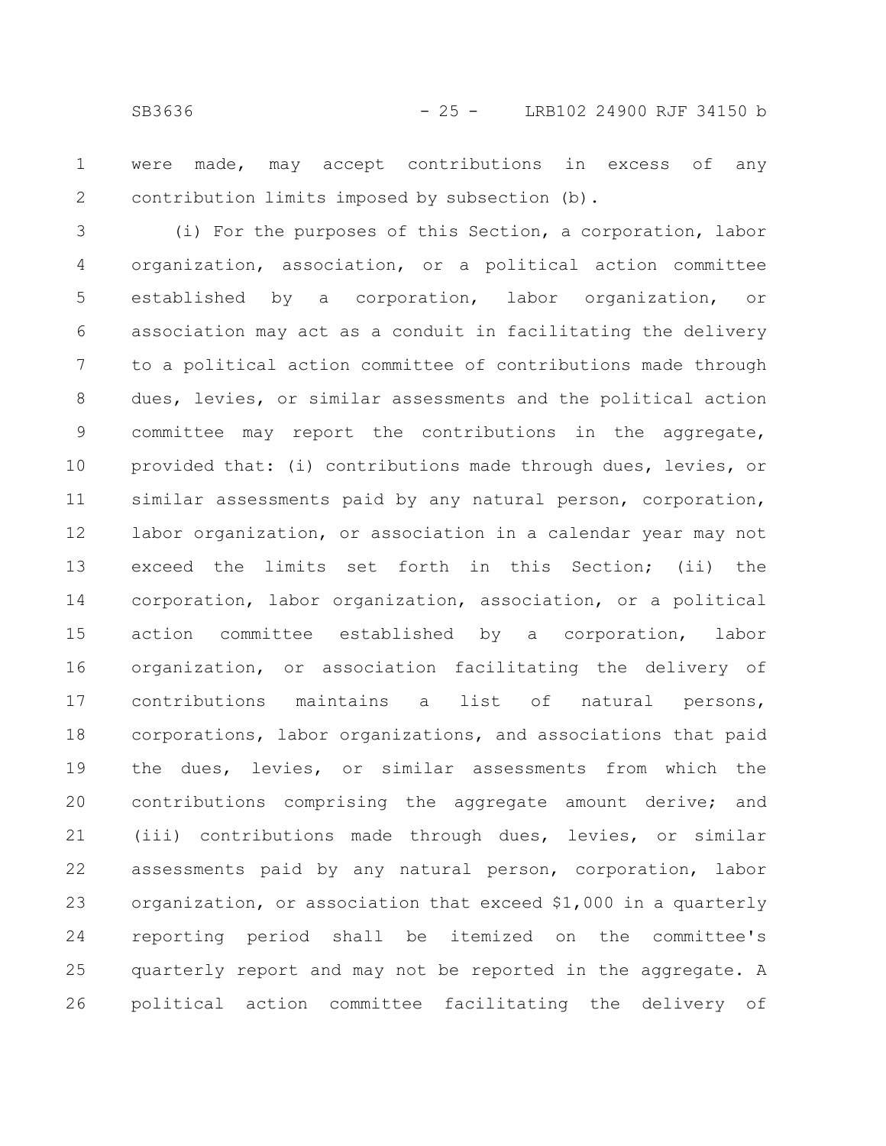were made, may accept contributions in excess of any contribution limits imposed by subsection (b). 1 2

(i) For the purposes of this Section, a corporation, labor organization, association, or a political action committee established by a corporation, labor organization, or association may act as a conduit in facilitating the delivery to a political action committee of contributions made through dues, levies, or similar assessments and the political action committee may report the contributions in the aggregate, provided that: (i) contributions made through dues, levies, or similar assessments paid by any natural person, corporation, labor organization, or association in a calendar year may not exceed the limits set forth in this Section; (ii) the corporation, labor organization, association, or a political action committee established by a corporation, labor organization, or association facilitating the delivery of contributions maintains a list of natural persons, corporations, labor organizations, and associations that paid the dues, levies, or similar assessments from which the contributions comprising the aggregate amount derive; and (iii) contributions made through dues, levies, or similar assessments paid by any natural person, corporation, labor organization, or association that exceed \$1,000 in a quarterly reporting period shall be itemized on the committee's quarterly report and may not be reported in the aggregate. A political action committee facilitating the delivery of 3 4 5 6 7 8 9 10 11 12 13 14 15 16 17 18 19 20 21 22 23 24 25 26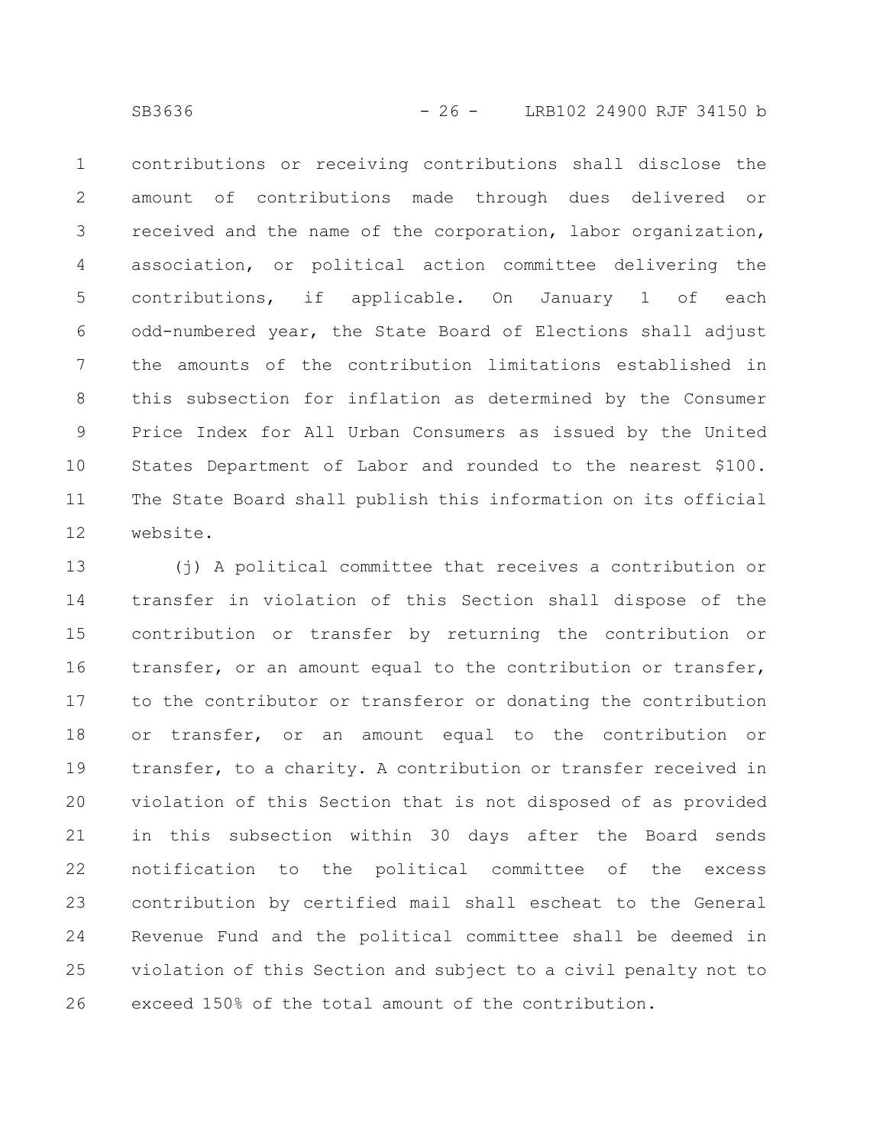SB3636 - 26 - LRB102 24900 RJF 34150 b

contributions or receiving contributions shall disclose the amount of contributions made through dues delivered or received and the name of the corporation, labor organization, association, or political action committee delivering the contributions, if applicable. On January 1 of each odd-numbered year, the State Board of Elections shall adjust the amounts of the contribution limitations established in this subsection for inflation as determined by the Consumer Price Index for All Urban Consumers as issued by the United States Department of Labor and rounded to the nearest \$100. The State Board shall publish this information on its official website. 1 2 3 4 5 6 7 8 9 10 11 12

(j) A political committee that receives a contribution or transfer in violation of this Section shall dispose of the contribution or transfer by returning the contribution or transfer, or an amount equal to the contribution or transfer, to the contributor or transferor or donating the contribution or transfer, or an amount equal to the contribution or transfer, to a charity. A contribution or transfer received in violation of this Section that is not disposed of as provided in this subsection within 30 days after the Board sends notification to the political committee of the excess contribution by certified mail shall escheat to the General Revenue Fund and the political committee shall be deemed in violation of this Section and subject to a civil penalty not to exceed 150% of the total amount of the contribution. 13 14 15 16 17 18 19 20 21 22 23 24 25 26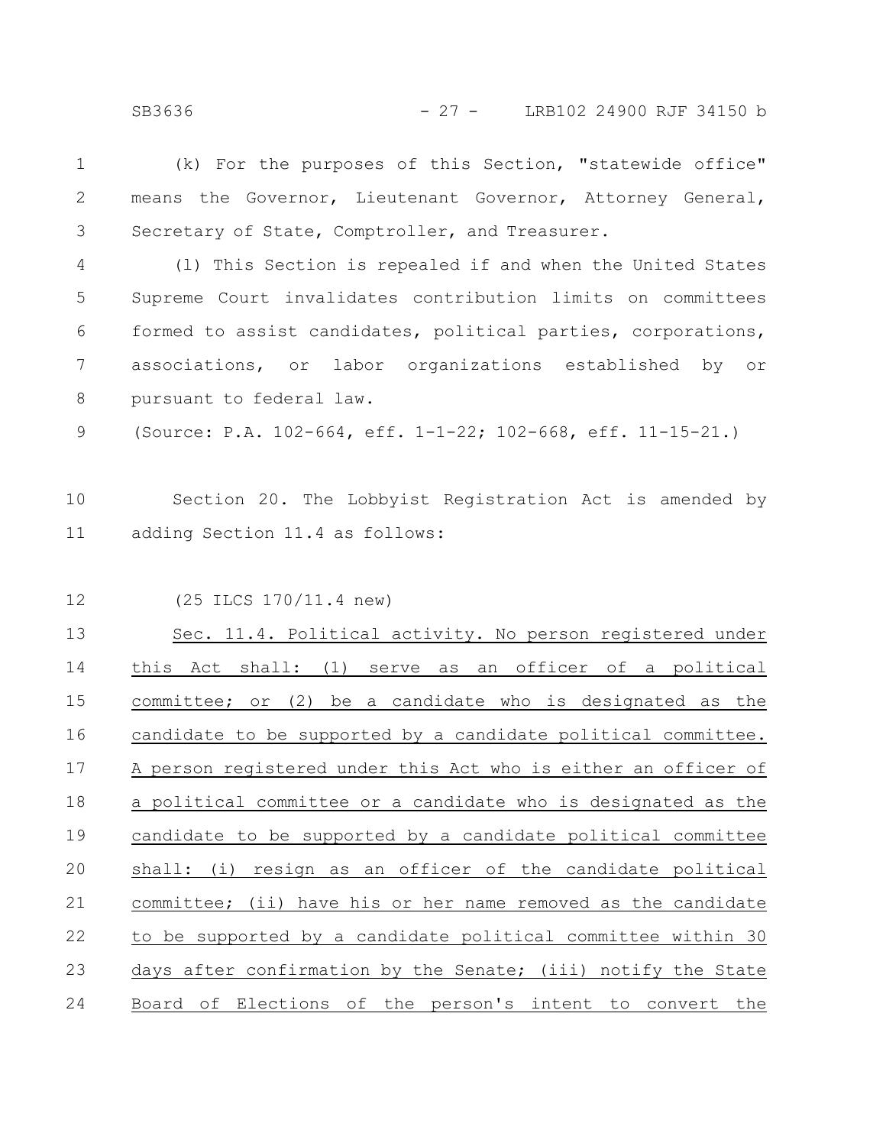(k) For the purposes of this Section, "statewide office" means the Governor, Lieutenant Governor, Attorney General, Secretary of State, Comptroller, and Treasurer. (l) This Section is repealed if and when the United States Supreme Court invalidates contribution limits on committees formed to assist candidates, political parties, corporations, associations, or labor organizations established by or pursuant to federal law. (Source: P.A. 102-664, eff. 1-1-22; 102-668, eff. 11-15-21.) Section 20. The Lobbyist Registration Act is amended by adding Section 11.4 as follows: (25 ILCS 170/11.4 new) Sec. 11.4. Political activity. No person registered under this Act shall: (1) serve as an officer of a political committee; or (2) be a candidate who is designated as the candidate to be supported by a candidate political committee. A person registered under this Act who is either an officer of a political committee or a candidate who is designated as the candidate to be supported by a candidate political committee shall: (i) resign as an officer of the candidate political committee; (ii) have his or her name removed as the candidate to be supported by a candidate political committee within 30 days after confirmation by the Senate; (iii) notify the State Board of Elections of the person's intent to convert the 1 2 3 4 5 6 7 8 9 10 11 12 13 14 15 16 17 18 19 20 21 22 23 24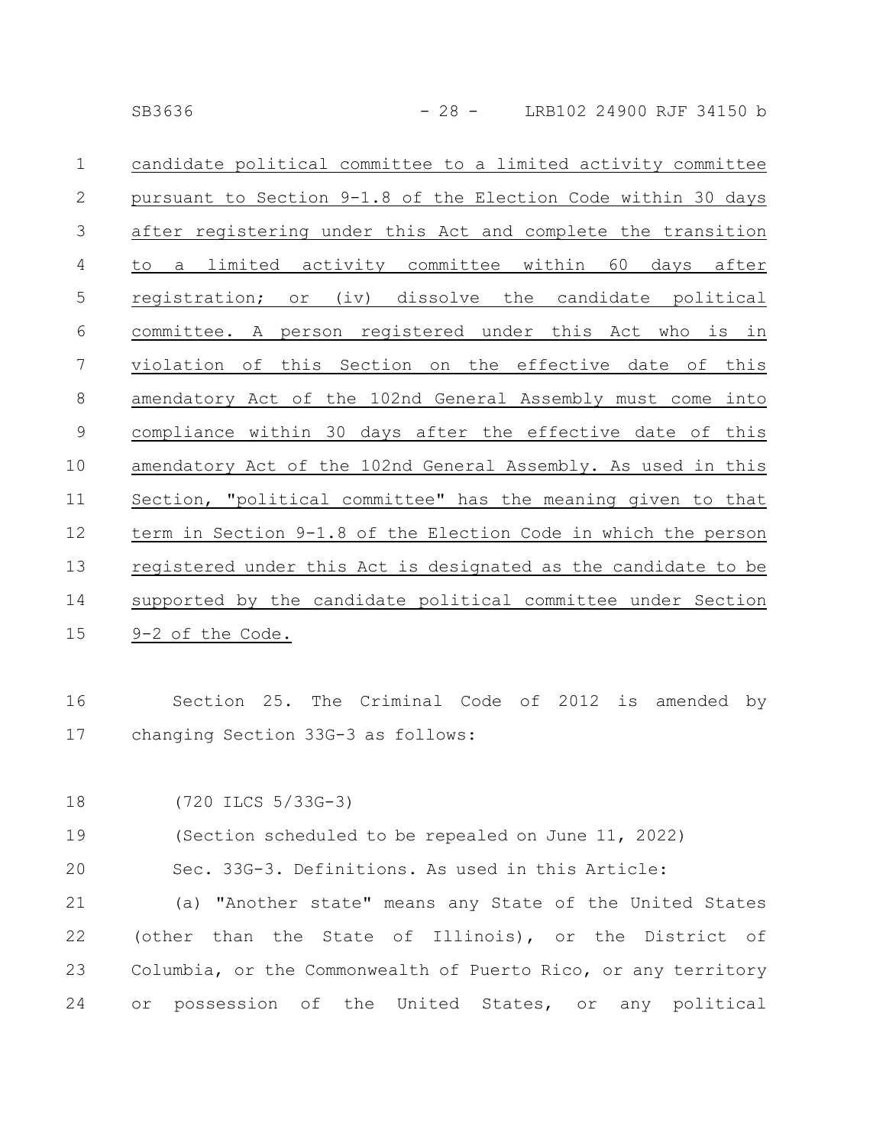| $\mathbf 1$    | candidate political committee to a limited activity committee  |
|----------------|----------------------------------------------------------------|
| $\mathbf{2}$   | pursuant to Section 9-1.8 of the Election Code within 30 days  |
| 3              | after registering under this Act and complete the transition   |
| $\overline{4}$ | a limited activity committee within 60 days after<br>to        |
| 5              | registration; or (iv) dissolve the candidate political         |
| 6              | committee. A person registered under this Act who is in        |
| 7              | violation of this Section on the effective date of this        |
| 8              | amendatory Act of the 102nd General Assembly must come into    |
| 9              | compliance within 30 days after the effective date of this     |
| 10             | amendatory Act of the 102nd General Assembly. As used in this  |
| 11             | Section, "political committee" has the meaning given to that   |
| 12             | term in Section 9-1.8 of the Election Code in which the person |
| 13             | registered under this Act is designated as the candidate to be |
| 14             | supported by the candidate political committee under Section   |
| 15             | 9-2 of the Code.                                               |

Section 25. The Criminal Code of 2012 is amended by changing Section 33G-3 as follows: 16 17

```
(720 ILCS 5/33G-3)
18
```
(Section scheduled to be repealed on June 11, 2022) 19

Sec. 33G-3. Definitions. As used in this Article: 20

(a) "Another state" means any State of the United States (other than the State of Illinois), or the District of Columbia, or the Commonwealth of Puerto Rico, or any territory or possession of the United States, or any political 21 22 23 24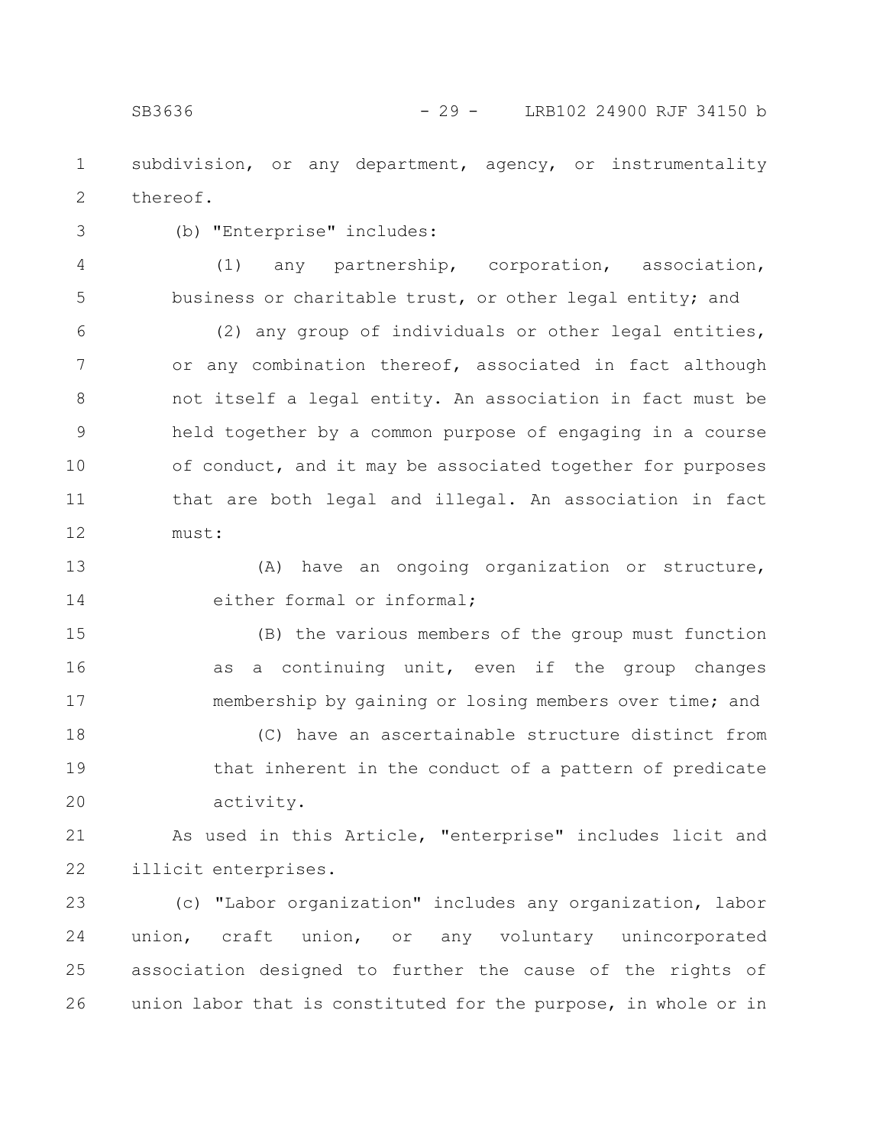subdivision, or any department, agency, or instrumentality thereof. 1 2

3

(b) "Enterprise" includes:

4

(1) any partnership, corporation, association,

business or charitable trust, or other legal entity; and (2) any group of individuals or other legal entities, or any combination thereof, associated in fact although not itself a legal entity. An association in fact must be held together by a common purpose of engaging in a course of conduct, and it may be associated together for purposes that are both legal and illegal. An association in fact 5 6 7 8 9 10 11

must: 12

(A) have an ongoing organization or structure, either formal or informal; 13 14

(B) the various members of the group must function as a continuing unit, even if the group changes membership by gaining or losing members over time; and 15 16 17

(C) have an ascertainable structure distinct from that inherent in the conduct of a pattern of predicate activity. 18 19 20

As used in this Article, "enterprise" includes licit and illicit enterprises. 21 22

(c) "Labor organization" includes any organization, labor union, craft union, or any voluntary unincorporated association designed to further the cause of the rights of union labor that is constituted for the purpose, in whole or in 23 24 25 26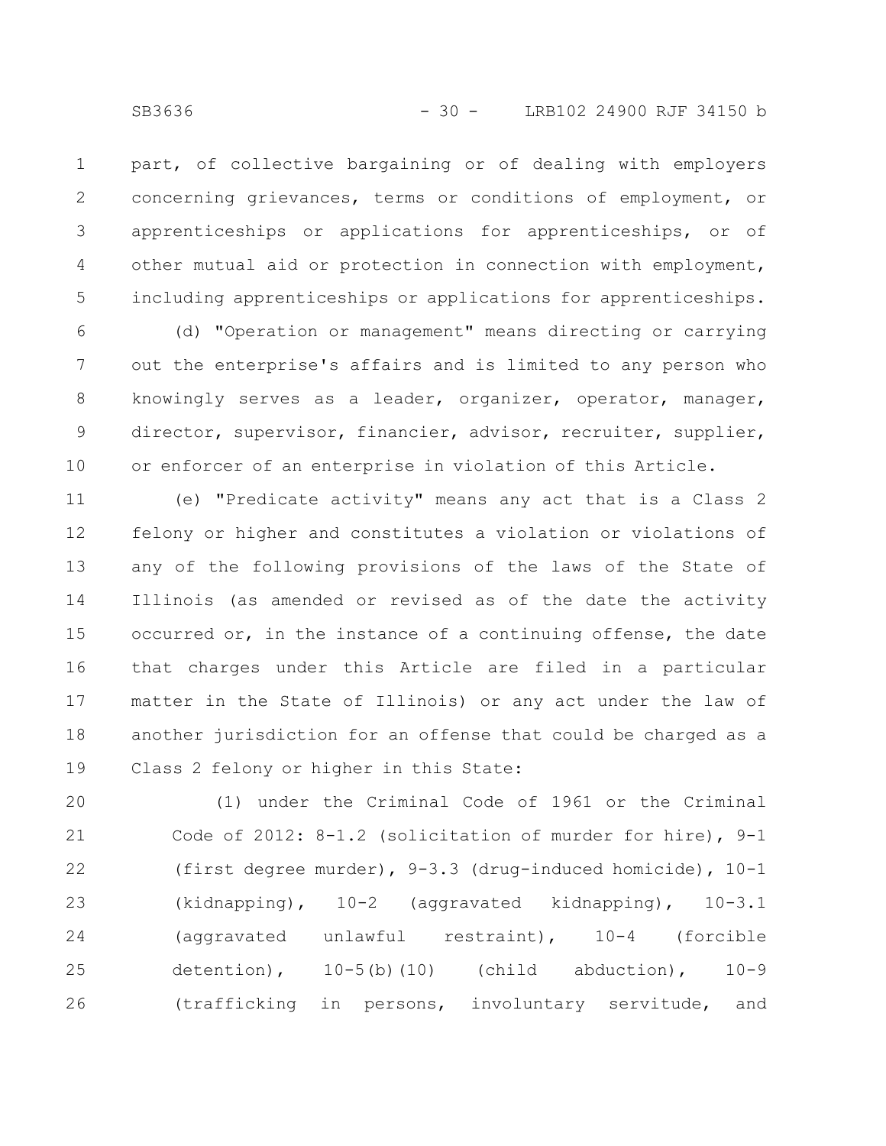part, of collective bargaining or of dealing with employers concerning grievances, terms or conditions of employment, or apprenticeships or applications for apprenticeships, or of other mutual aid or protection in connection with employment, including apprenticeships or applications for apprenticeships. 1 2 3 4 5

(d) "Operation or management" means directing or carrying out the enterprise's affairs and is limited to any person who knowingly serves as a leader, organizer, operator, manager, director, supervisor, financier, advisor, recruiter, supplier, or enforcer of an enterprise in violation of this Article. 6 7 8 9 10

(e) "Predicate activity" means any act that is a Class 2 felony or higher and constitutes a violation or violations of any of the following provisions of the laws of the State of Illinois (as amended or revised as of the date the activity occurred or, in the instance of a continuing offense, the date that charges under this Article are filed in a particular matter in the State of Illinois) or any act under the law of another jurisdiction for an offense that could be charged as a Class 2 felony or higher in this State: 11 12 13 14 15 16 17 18 19

(1) under the Criminal Code of 1961 or the Criminal Code of 2012: 8-1.2 (solicitation of murder for hire), 9-1 (first degree murder), 9-3.3 (drug-induced homicide), 10-1 (kidnapping), 10-2 (aggravated kidnapping), 10-3.1 (aggravated unlawful restraint), 10-4 (forcible detention),  $10-5(b)(10)$  (child abduction),  $10-9$ (trafficking in persons, involuntary servitude, and 20 21 22 23 24 25 26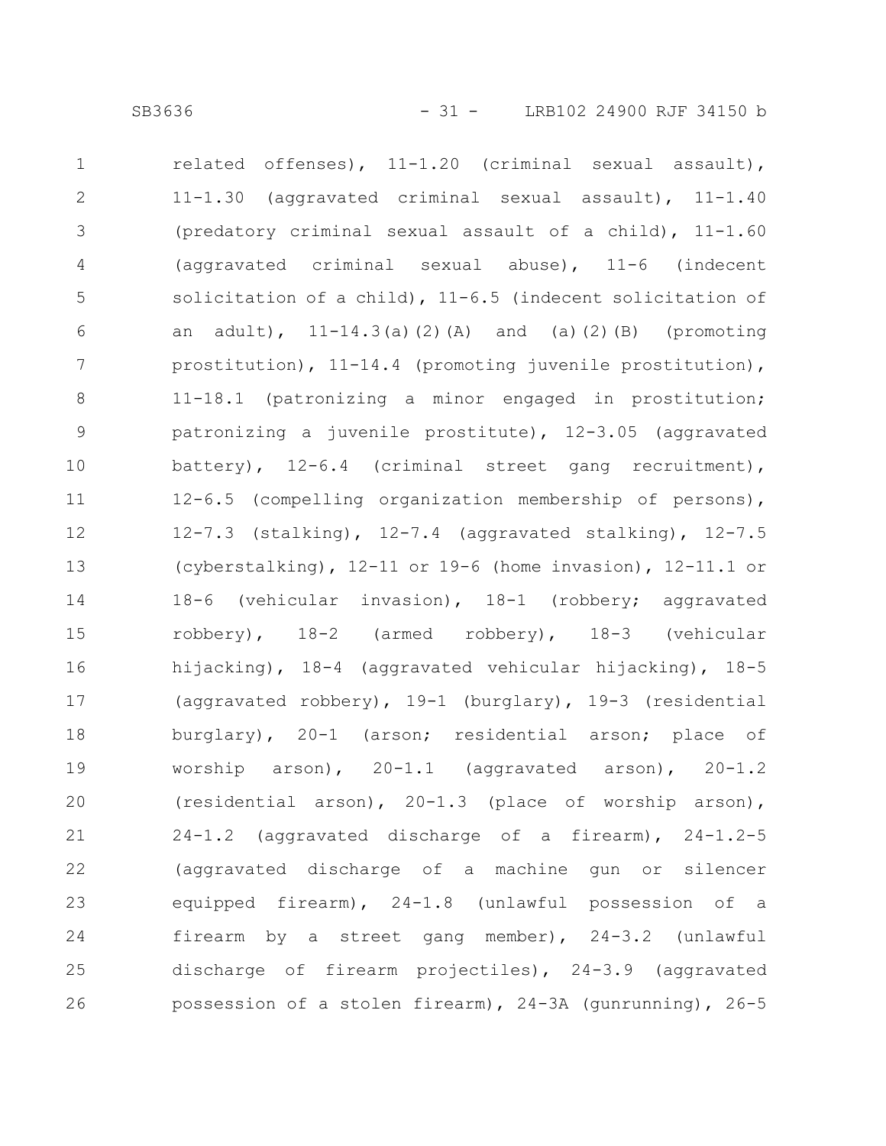related offenses), 11-1.20 (criminal sexual assault), 11-1.30 (aggravated criminal sexual assault), 11-1.40 (predatory criminal sexual assault of a child), 11-1.60 (aggravated criminal sexual abuse), 11-6 (indecent solicitation of a child), 11-6.5 (indecent solicitation of an adult),  $11-14.3(a)(2)(A)$  and (a)(2)(B) (promoting prostitution), 11-14.4 (promoting juvenile prostitution), 11-18.1 (patronizing a minor engaged in prostitution; patronizing a juvenile prostitute), 12-3.05 (aggravated battery), 12-6.4 (criminal street gang recruitment), 12-6.5 (compelling organization membership of persons), 12-7.3 (stalking), 12-7.4 (aggravated stalking), 12-7.5 (cyberstalking), 12-11 or 19-6 (home invasion), 12-11.1 or 18-6 (vehicular invasion), 18-1 (robbery; aggravated robbery), 18-2 (armed robbery), 18-3 (vehicular hijacking), 18-4 (aggravated vehicular hijacking), 18-5 (aggravated robbery), 19-1 (burglary), 19-3 (residential burglary), 20-1 (arson; residential arson; place of worship arson), 20-1.1 (aggravated arson), 20-1.2 (residential arson), 20-1.3 (place of worship arson), 24-1.2 (aggravated discharge of a firearm), 24-1.2-5 (aggravated discharge of a machine gun or silencer equipped firearm), 24-1.8 (unlawful possession of a firearm by a street gang member), 24-3.2 (unlawful discharge of firearm projectiles), 24-3.9 (aggravated possession of a stolen firearm), 24-3A (gunrunning), 26-5 1 2 3 4 5 6 7 8 9 10 11 12 13 14 15 16 17 18 19 20 21 22 23 24 25 26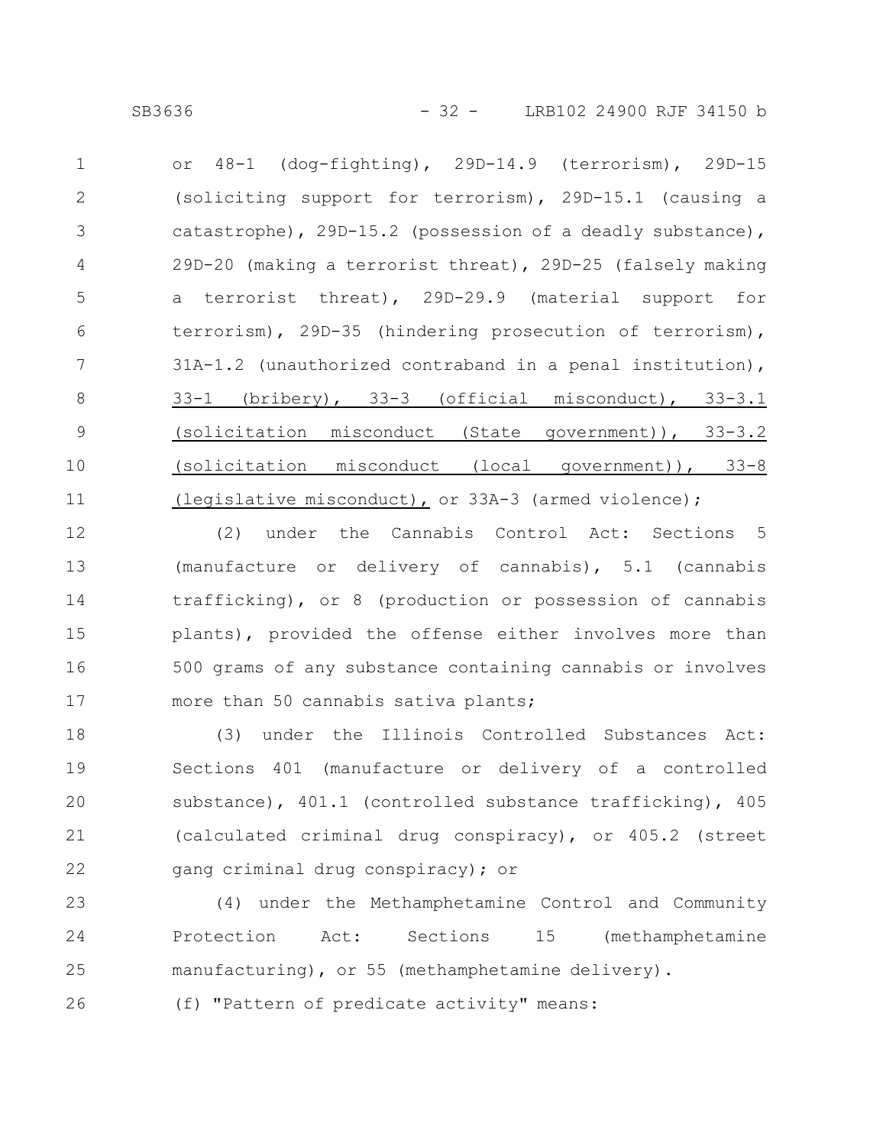or 48-1 (dog-fighting), 29D-14.9 (terrorism), 29D-15 (soliciting support for terrorism), 29D-15.1 (causing a catastrophe), 29D-15.2 (possession of a deadly substance), 29D-20 (making a terrorist threat), 29D-25 (falsely making a terrorist threat), 29D-29.9 (material support for terrorism), 29D-35 (hindering prosecution of terrorism), 31A-1.2 (unauthorized contraband in a penal institution), 33-1 (bribery), 33-3 (official misconduct), 33-3.1 (solicitation misconduct (State government)), 33-3.2 (solicitation misconduct (local government)), 33-8 (legislative misconduct), or 33A-3 (armed violence); 1 2 3 4 5 6 7 8 9 10 11

(2) under the Cannabis Control Act: Sections 5 (manufacture or delivery of cannabis), 5.1 (cannabis trafficking), or 8 (production or possession of cannabis plants), provided the offense either involves more than 500 grams of any substance containing cannabis or involves more than 50 cannabis sativa plants; 12 13 14 15 16 17

(3) under the Illinois Controlled Substances Act: Sections 401 (manufacture or delivery of a controlled substance), 401.1 (controlled substance trafficking), 405 (calculated criminal drug conspiracy), or 405.2 (street gang criminal drug conspiracy); or 18 19 20 21 22

(4) under the Methamphetamine Control and Community Protection Act: Sections 15 (methamphetamine manufacturing), or 55 (methamphetamine delivery). 23 24 25

(f) "Pattern of predicate activity" means: 26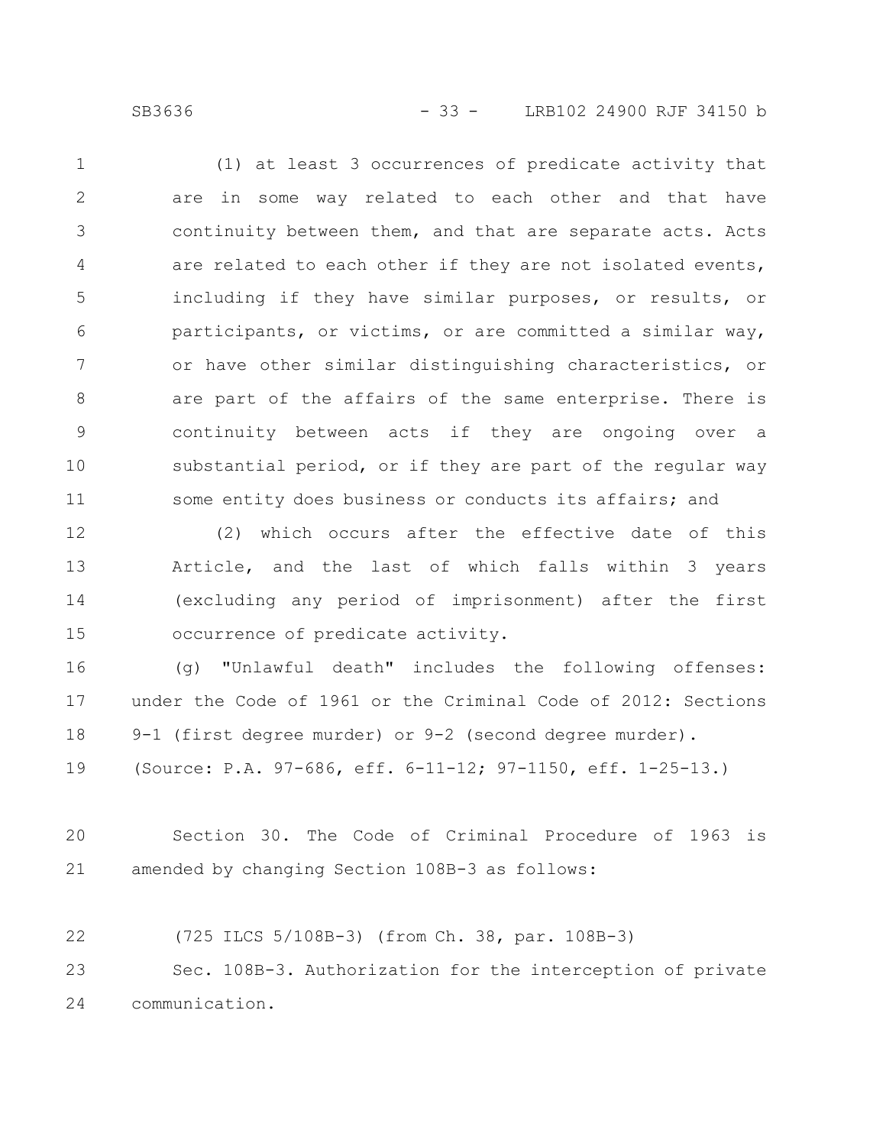SB3636 - 33 - LRB102 24900 RJF 34150 b

(1) at least 3 occurrences of predicate activity that are in some way related to each other and that have continuity between them, and that are separate acts. Acts are related to each other if they are not isolated events, including if they have similar purposes, or results, or participants, or victims, or are committed a similar way, or have other similar distinguishing characteristics, or are part of the affairs of the same enterprise. There is continuity between acts if they are ongoing over a substantial period, or if they are part of the regular way some entity does business or conducts its affairs; and 1 2 3 4 5 6 7 8 9 10 11

(2) which occurs after the effective date of this Article, and the last of which falls within 3 years (excluding any period of imprisonment) after the first occurrence of predicate activity. 12 13 14 15

(g) "Unlawful death" includes the following offenses: under the Code of 1961 or the Criminal Code of 2012: Sections 9-1 (first degree murder) or 9-2 (second degree murder). (Source: P.A. 97-686, eff. 6-11-12; 97-1150, eff. 1-25-13.) 16 17 18 19

Section 30. The Code of Criminal Procedure of 1963 is amended by changing Section 108B-3 as follows: 20 21

(725 ILCS 5/108B-3) (from Ch. 38, par. 108B-3) Sec. 108B-3. Authorization for the interception of private communication. 22 23 24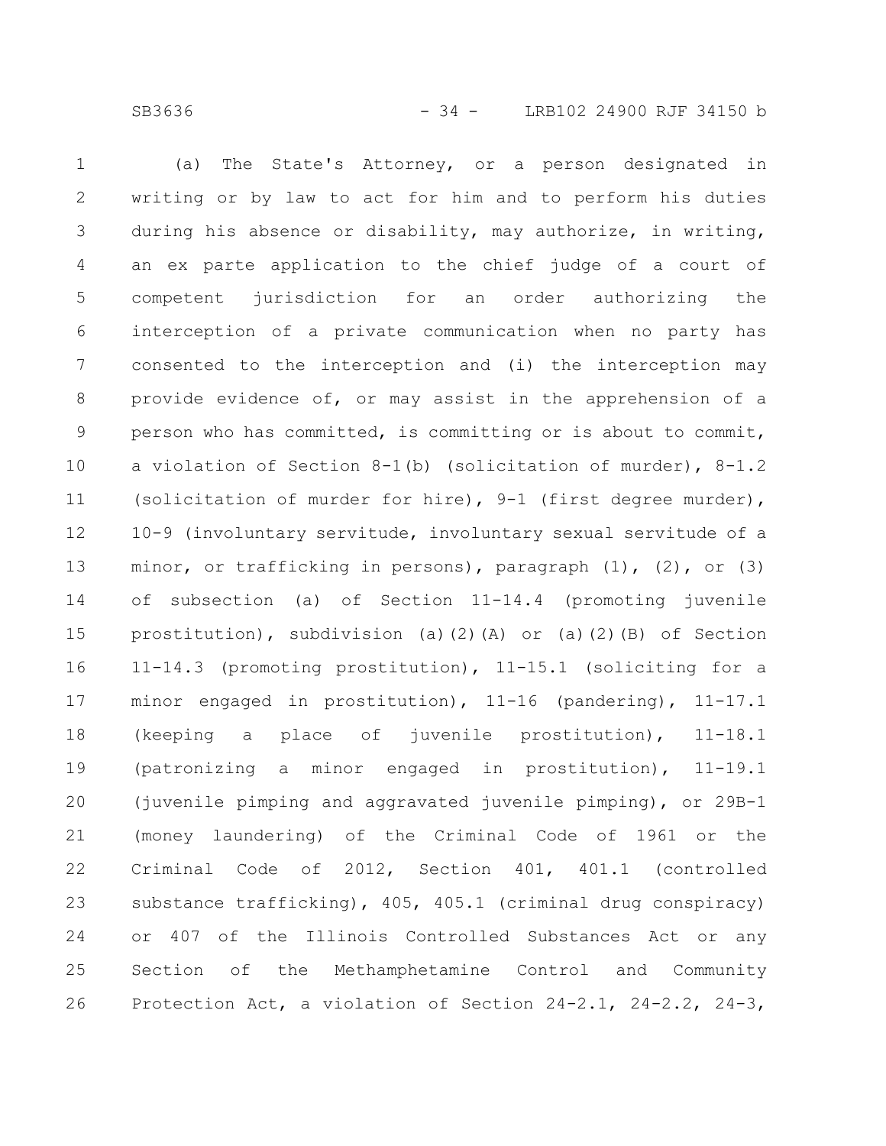(a) The State's Attorney, or a person designated in writing or by law to act for him and to perform his duties during his absence or disability, may authorize, in writing, an ex parte application to the chief judge of a court of competent jurisdiction for an order authorizing the interception of a private communication when no party has consented to the interception and (i) the interception may provide evidence of, or may assist in the apprehension of a person who has committed, is committing or is about to commit, a violation of Section 8-1(b) (solicitation of murder), 8-1.2 (solicitation of murder for hire), 9-1 (first degree murder), 10-9 (involuntary servitude, involuntary sexual servitude of a minor, or trafficking in persons), paragraph  $(1)$ ,  $(2)$ , or  $(3)$ of subsection (a) of Section 11-14.4 (promoting juvenile prostitution), subdivision (a)(2)(A) or (a)(2)(B) of Section 11-14.3 (promoting prostitution), 11-15.1 (soliciting for a minor engaged in prostitution), 11-16 (pandering), 11-17.1 (keeping a place of juvenile prostitution), 11-18.1 (patronizing a minor engaged in prostitution), 11-19.1 (juvenile pimping and aggravated juvenile pimping), or 29B-1 (money laundering) of the Criminal Code of 1961 or the Criminal Code of 2012, Section 401, 401.1 (controlled substance trafficking), 405, 405.1 (criminal drug conspiracy) or 407 of the Illinois Controlled Substances Act or any Section of the Methamphetamine Control and Community Protection Act, a violation of Section 24-2.1, 24-2.2, 24-3, 1 2 3 4 5 6 7 8 9 10 11 12 13 14 15 16 17 18 19 20 21 22 23 24 25 26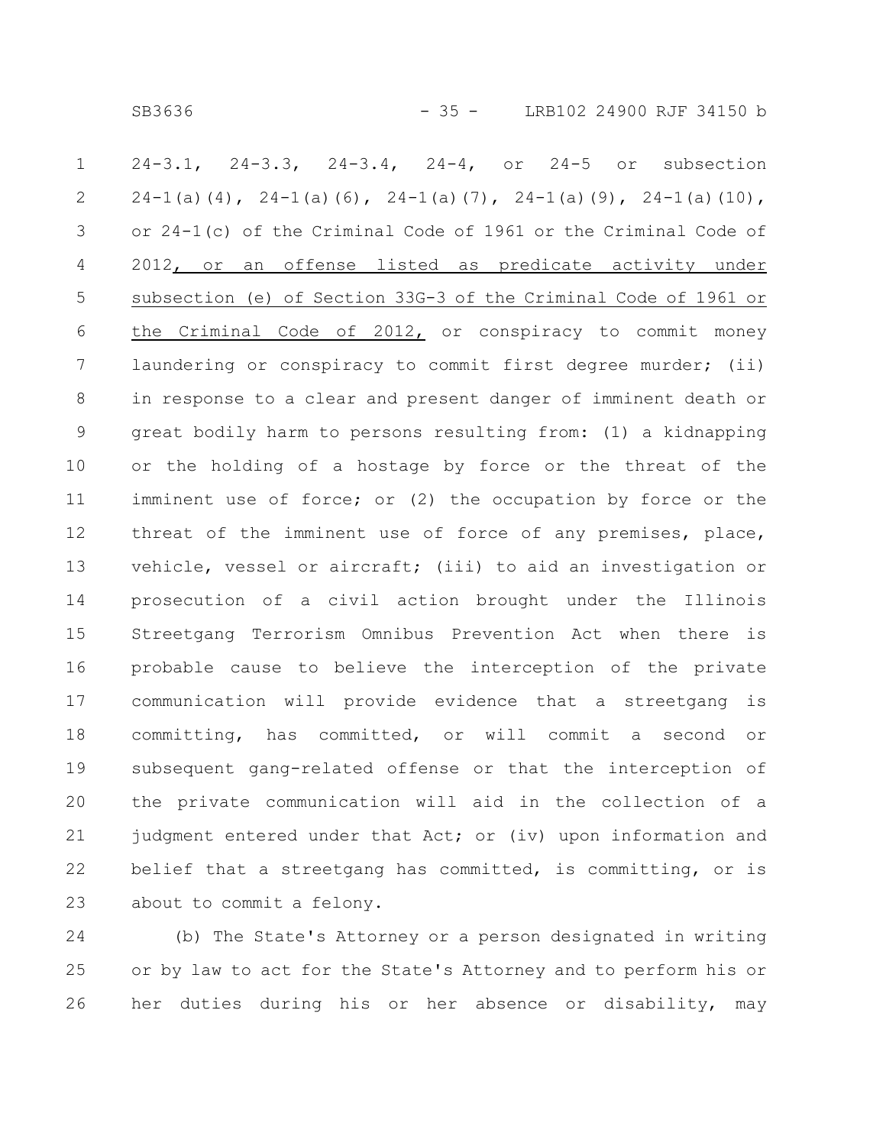SB3636 - 35 - LRB102 24900 RJF 34150 b

24-3.1, 24-3.3, 24-3.4, 24-4, or 24-5 or subsection  $24-1$  (a) (4),  $24-1$  (a) (6),  $24-1$  (a) (7),  $24-1$  (a) (9),  $24-1$  (a) (10), or 24-1(c) of the Criminal Code of 1961 or the Criminal Code of 2012, or an offense listed as predicate activity under subsection (e) of Section 33G-3 of the Criminal Code of 1961 or the Criminal Code of 2012, or conspiracy to commit money laundering or conspiracy to commit first degree murder; (ii) in response to a clear and present danger of imminent death or great bodily harm to persons resulting from: (1) a kidnapping or the holding of a hostage by force or the threat of the imminent use of force; or (2) the occupation by force or the threat of the imminent use of force of any premises, place, vehicle, vessel or aircraft; (iii) to aid an investigation or prosecution of a civil action brought under the Illinois Streetgang Terrorism Omnibus Prevention Act when there is probable cause to believe the interception of the private communication will provide evidence that a streetgang is committing, has committed, or will commit a second or subsequent gang-related offense or that the interception of the private communication will aid in the collection of a judgment entered under that Act; or (iv) upon information and belief that a streetgang has committed, is committing, or is about to commit a felony. 1 2 3 4 5 6 7 8 9 10 11 12 13 14 15 16 17 18 19 20 21 22 23

(b) The State's Attorney or a person designated in writing or by law to act for the State's Attorney and to perform his or her duties during his or her absence or disability, may 24 25 26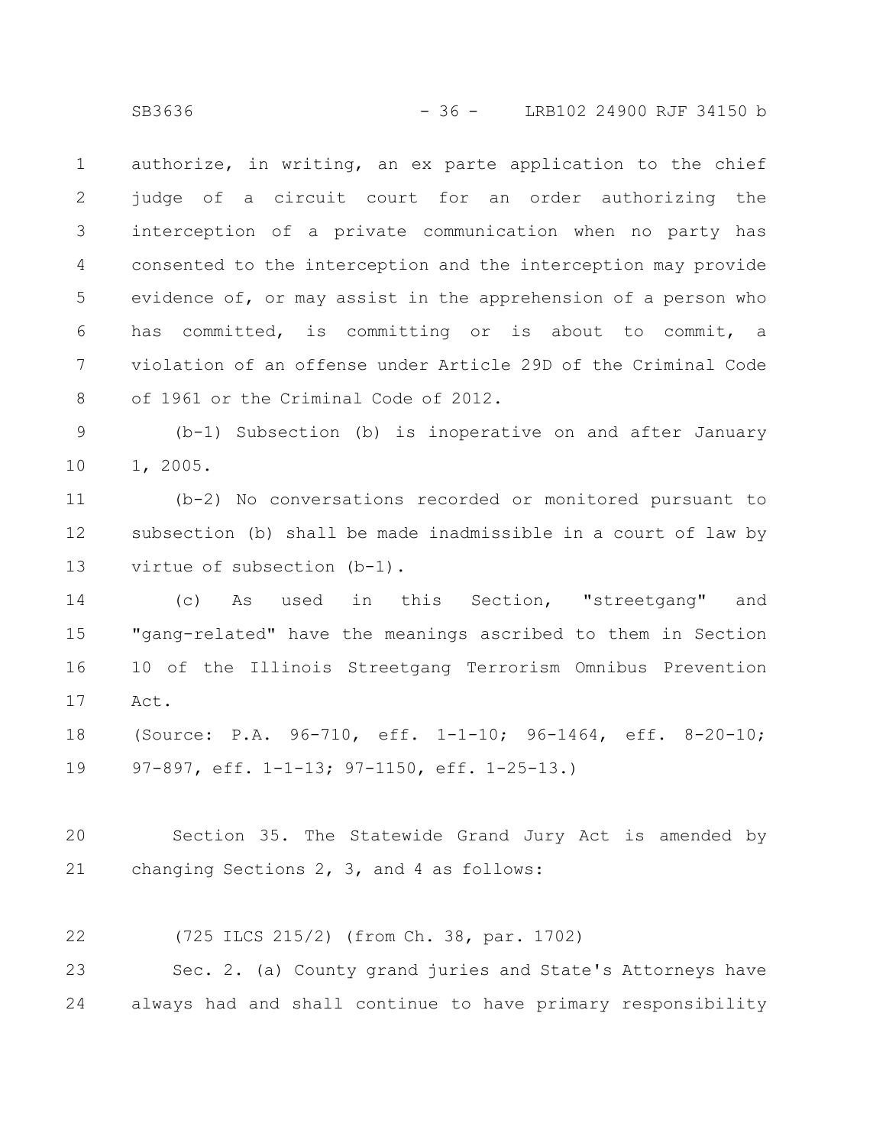authorize, in writing, an ex parte application to the chief judge of a circuit court for an order authorizing the interception of a private communication when no party has consented to the interception and the interception may provide evidence of, or may assist in the apprehension of a person who has committed, is committing or is about to commit, a violation of an offense under Article 29D of the Criminal Code of 1961 or the Criminal Code of 2012. 1 2 3 4 5 6 7 8

(b-1) Subsection (b) is inoperative on and after January 1, 2005. 9 10

(b-2) No conversations recorded or monitored pursuant to subsection (b) shall be made inadmissible in a court of law by virtue of subsection (b-1). 11 12 13

(c) As used in this Section, "streetgang" and "gang-related" have the meanings ascribed to them in Section 10 of the Illinois Streetgang Terrorism Omnibus Prevention Act. 14 15 16 17

(Source: P.A. 96-710, eff. 1-1-10; 96-1464, eff. 8-20-10; 97-897, eff. 1-1-13; 97-1150, eff. 1-25-13.) 18 19

Section 35. The Statewide Grand Jury Act is amended by changing Sections 2, 3, and 4 as follows: 20 21

(725 ILCS 215/2) (from Ch. 38, par. 1702) 22

Sec. 2. (a) County grand juries and State's Attorneys have always had and shall continue to have primary responsibility 23 24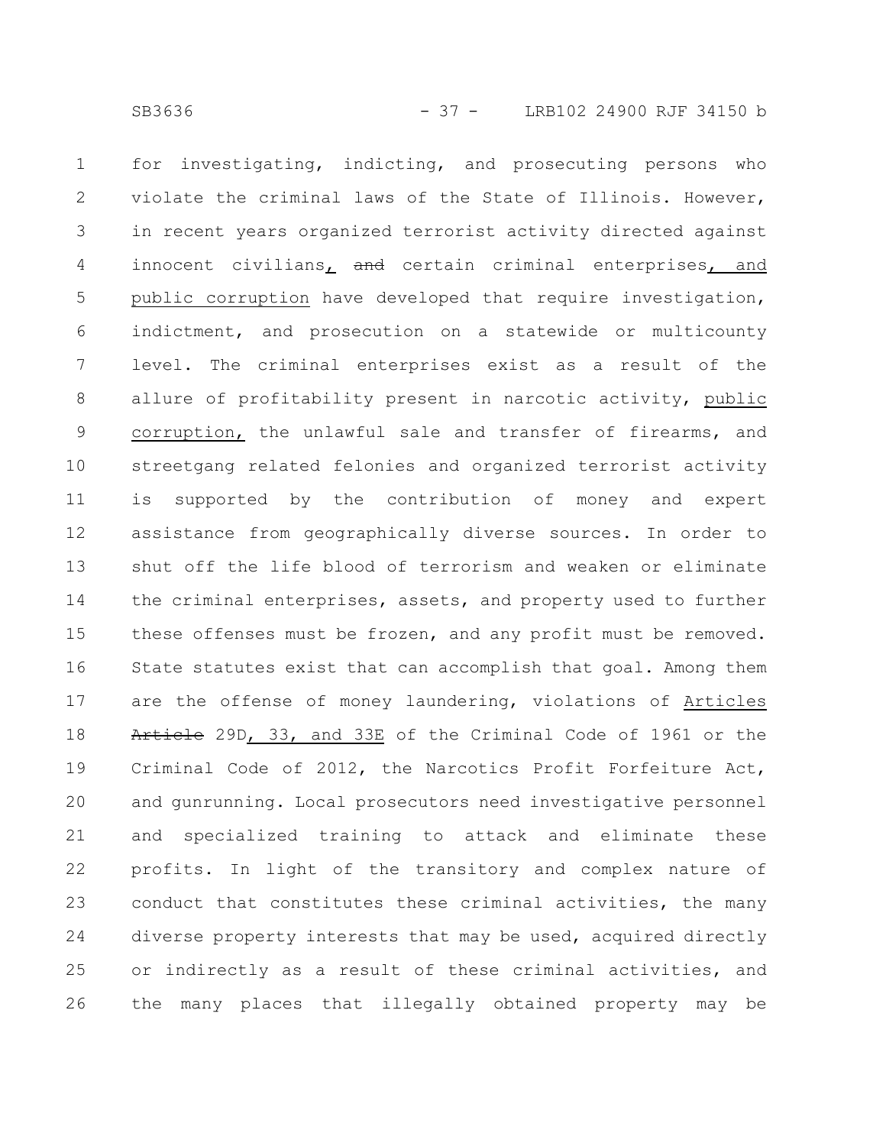for investigating, indicting, and prosecuting persons who violate the criminal laws of the State of Illinois. However, in recent years organized terrorist activity directed against innocent civilians, and certain criminal enterprises, and public corruption have developed that require investigation, indictment, and prosecution on a statewide or multicounty level. The criminal enterprises exist as a result of the allure of profitability present in narcotic activity, public corruption, the unlawful sale and transfer of firearms, and streetgang related felonies and organized terrorist activity is supported by the contribution of money and expert assistance from geographically diverse sources. In order to shut off the life blood of terrorism and weaken or eliminate the criminal enterprises, assets, and property used to further these offenses must be frozen, and any profit must be removed. State statutes exist that can accomplish that goal. Among them are the offense of money laundering, violations of Articles Article 29D, 33, and 33E of the Criminal Code of 1961 or the Criminal Code of 2012, the Narcotics Profit Forfeiture Act, and gunrunning. Local prosecutors need investigative personnel and specialized training to attack and eliminate these profits. In light of the transitory and complex nature of conduct that constitutes these criminal activities, the many diverse property interests that may be used, acquired directly or indirectly as a result of these criminal activities, and the many places that illegally obtained property may be 1 2 3 4 5 6 7 8 9 10 11 12 13 14 15 16 17 18 19 20 21 22 23 24 25 26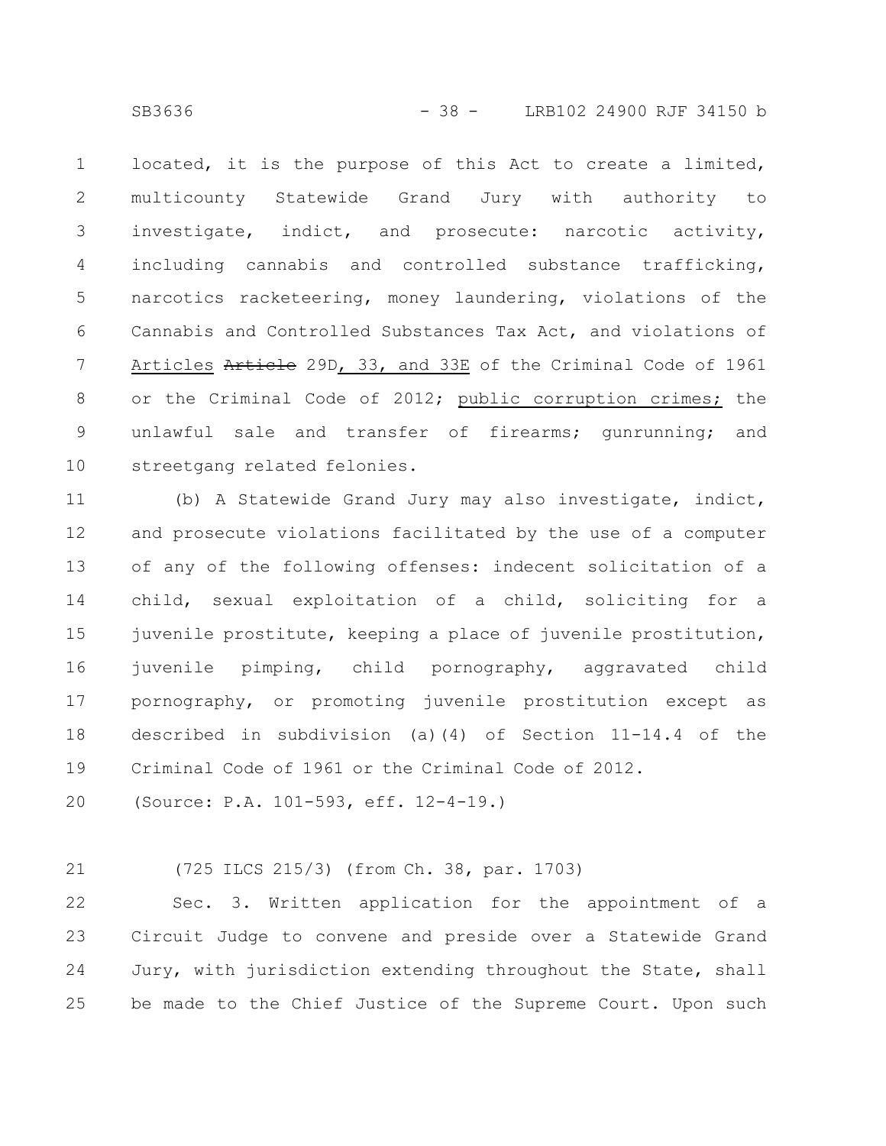located, it is the purpose of this Act to create a limited, multicounty Statewide Grand Jury with authority to investigate, indict, and prosecute: narcotic activity, including cannabis and controlled substance trafficking, narcotics racketeering, money laundering, violations of the Cannabis and Controlled Substances Tax Act, and violations of Articles Article 29D, 33, and 33E of the Criminal Code of 1961 or the Criminal Code of 2012; public corruption crimes; the unlawful sale and transfer of firearms; gunrunning; and streetgang related felonies. 1 2 3 4 5 6 7 8 9 10

(b) A Statewide Grand Jury may also investigate, indict, and prosecute violations facilitated by the use of a computer of any of the following offenses: indecent solicitation of a child, sexual exploitation of a child, soliciting for a juvenile prostitute, keeping a place of juvenile prostitution, juvenile pimping, child pornography, aggravated child pornography, or promoting juvenile prostitution except as described in subdivision (a)(4) of Section 11-14.4 of the Criminal Code of 1961 or the Criminal Code of 2012. 11 12 13 14 15 16 17 18 19

(Source: P.A. 101-593, eff. 12-4-19.) 20

(725 ILCS 215/3) (from Ch. 38, par. 1703) 21

Sec. 3. Written application for the appointment of a Circuit Judge to convene and preside over a Statewide Grand Jury, with jurisdiction extending throughout the State, shall be made to the Chief Justice of the Supreme Court. Upon such 22 23 24 25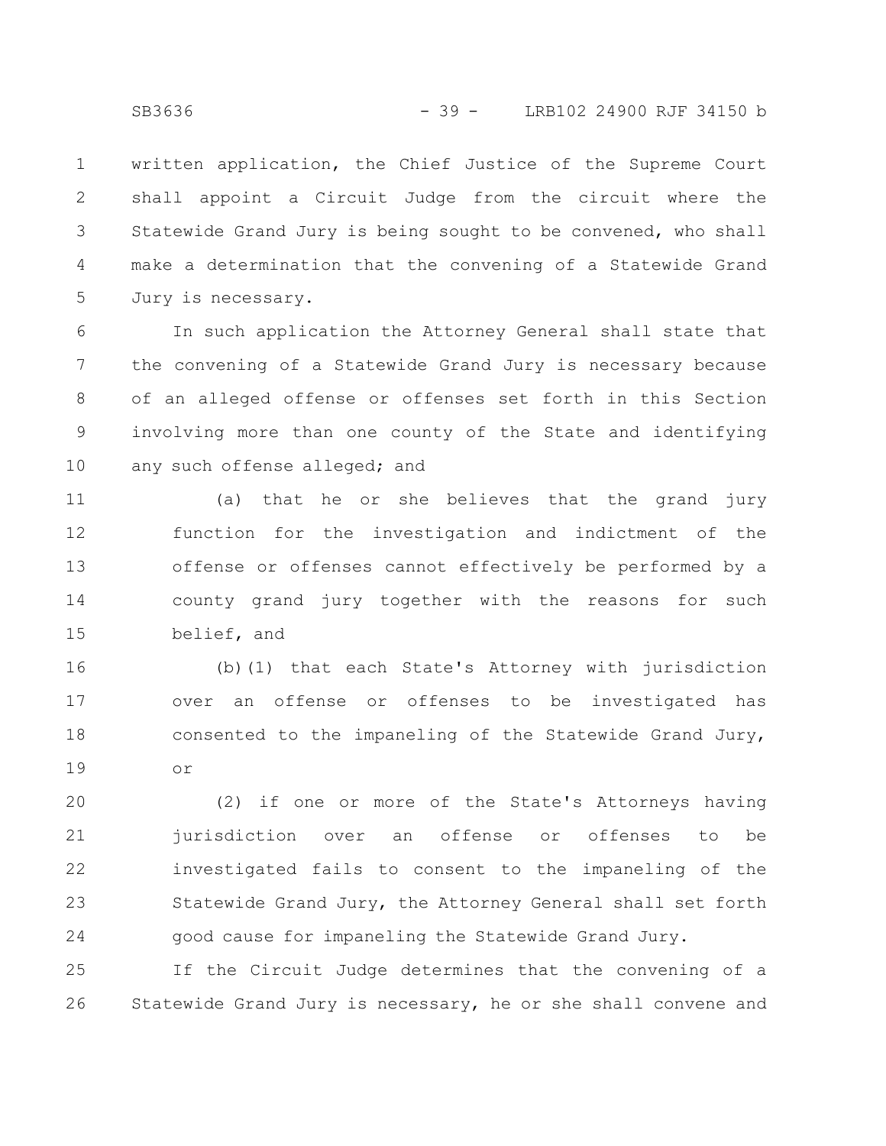written application, the Chief Justice of the Supreme Court shall appoint a Circuit Judge from the circuit where the Statewide Grand Jury is being sought to be convened, who shall make a determination that the convening of a Statewide Grand Jury is necessary. 1 2 3 4 5

In such application the Attorney General shall state that the convening of a Statewide Grand Jury is necessary because of an alleged offense or offenses set forth in this Section involving more than one county of the State and identifying any such offense alleged; and 6 7 8 9 10

(a) that he or she believes that the grand jury function for the investigation and indictment of the offense or offenses cannot effectively be performed by a county grand jury together with the reasons for such belief, and 11 12 13 14 15

(b)(1) that each State's Attorney with jurisdiction over an offense or offenses to be investigated has consented to the impaneling of the Statewide Grand Jury, or 16 17 18 19

(2) if one or more of the State's Attorneys having jurisdiction over an offense or offenses to be investigated fails to consent to the impaneling of the Statewide Grand Jury, the Attorney General shall set forth good cause for impaneling the Statewide Grand Jury. 20 21 22 23 24

If the Circuit Judge determines that the convening of a Statewide Grand Jury is necessary, he or she shall convene and 25 26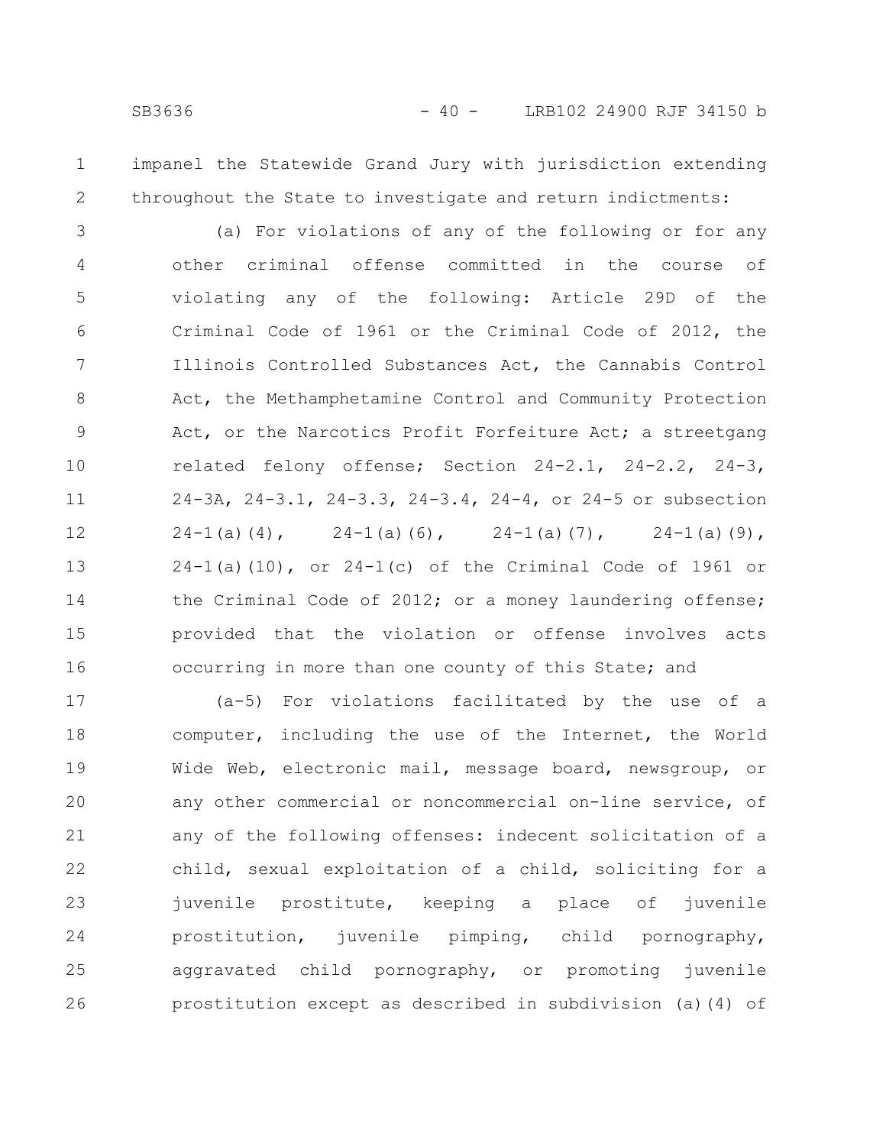impanel the Statewide Grand Jury with jurisdiction extending throughout the State to investigate and return indictments: 1 2

(a) For violations of any of the following or for any other criminal offense committed in the course of violating any of the following: Article 29D of the Criminal Code of 1961 or the Criminal Code of 2012, the Illinois Controlled Substances Act, the Cannabis Control Act, the Methamphetamine Control and Community Protection Act, or the Narcotics Profit Forfeiture Act; a streetgang related felony offense; Section 24-2.1, 24-2.2, 24-3, 24-3A, 24-3.1, 24-3.3, 24-3.4, 24-4, or 24-5 or subsection 24-1(a)(4), 24-1(a)(6), 24-1(a)(7), 24-1(a)(9),  $24-1$ (a)(10), or  $24-1$ (c) of the Criminal Code of 1961 or the Criminal Code of 2012; or a money laundering offense; provided that the violation or offense involves acts occurring in more than one county of this State; and 3 4 5 6 7 8 9 10 11 12 13 14 15 16

(a-5) For violations facilitated by the use of a computer, including the use of the Internet, the World Wide Web, electronic mail, message board, newsgroup, or any other commercial or noncommercial on-line service, of any of the following offenses: indecent solicitation of a child, sexual exploitation of a child, soliciting for a juvenile prostitute, keeping a place of juvenile prostitution, juvenile pimping, child pornography, aggravated child pornography, or promoting juvenile prostitution except as described in subdivision (a)(4) of 17 18 19 20 21 22 23 24 25 26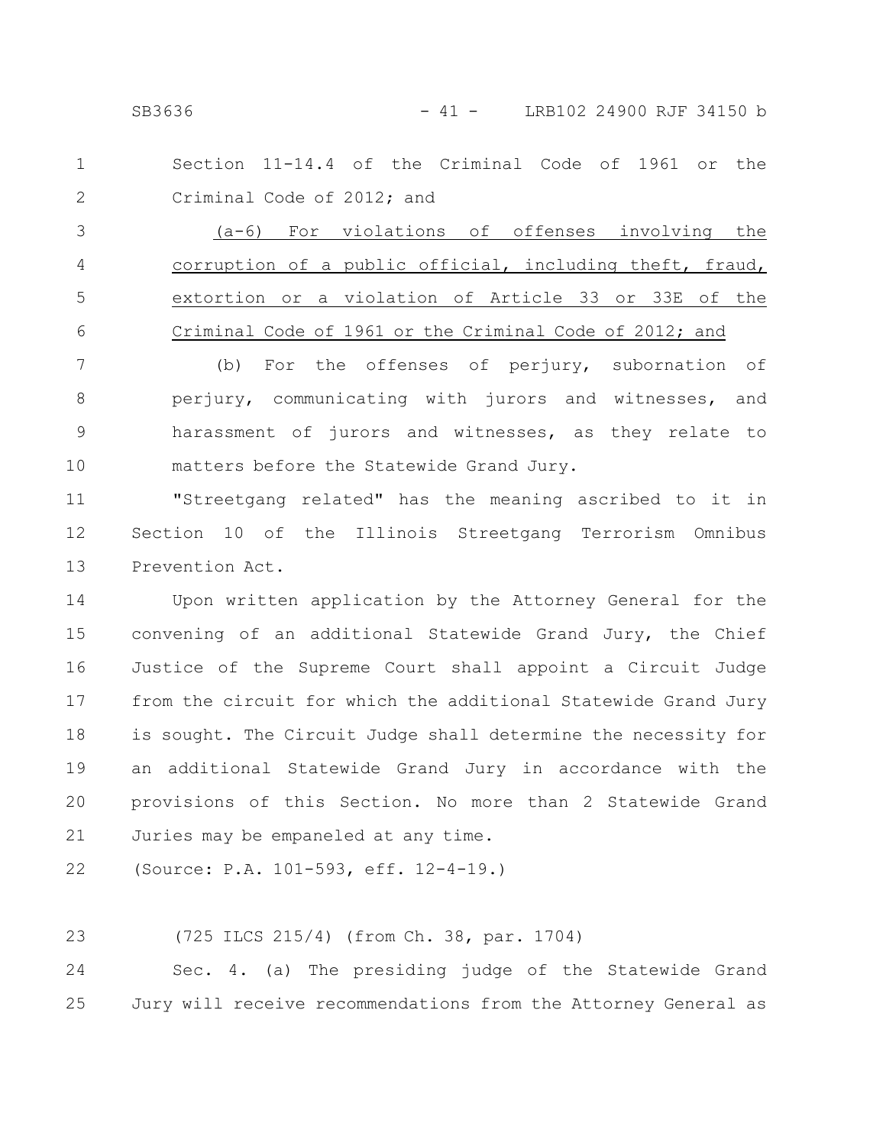SB3636 - 41 - LRB102 24900 RJF 34150 b

Section 11-14.4 of the Criminal Code of 1961 or the Criminal Code of 2012; and 1 2

(a-6) For violations of offenses involving the corruption of a public official, including theft, fraud, extortion or a violation of Article 33 or 33E of the Criminal Code of 1961 or the Criminal Code of 2012; and 3 4 5 6

(b) For the offenses of perjury, subornation of perjury, communicating with jurors and witnesses, and harassment of jurors and witnesses, as they relate to matters before the Statewide Grand Jury. 7 8 9 10

"Streetgang related" has the meaning ascribed to it in Section 10 of the Illinois Streetgang Terrorism Omnibus Prevention Act. 11 12 13

Upon written application by the Attorney General for the convening of an additional Statewide Grand Jury, the Chief Justice of the Supreme Court shall appoint a Circuit Judge from the circuit for which the additional Statewide Grand Jury is sought. The Circuit Judge shall determine the necessity for an additional Statewide Grand Jury in accordance with the provisions of this Section. No more than 2 Statewide Grand Juries may be empaneled at any time. 14 15 16 17 18 19 20 21

(Source: P.A. 101-593, eff. 12-4-19.) 22

(725 ILCS 215/4) (from Ch. 38, par. 1704) 23

Sec. 4. (a) The presiding judge of the Statewide Grand Jury will receive recommendations from the Attorney General as 24 25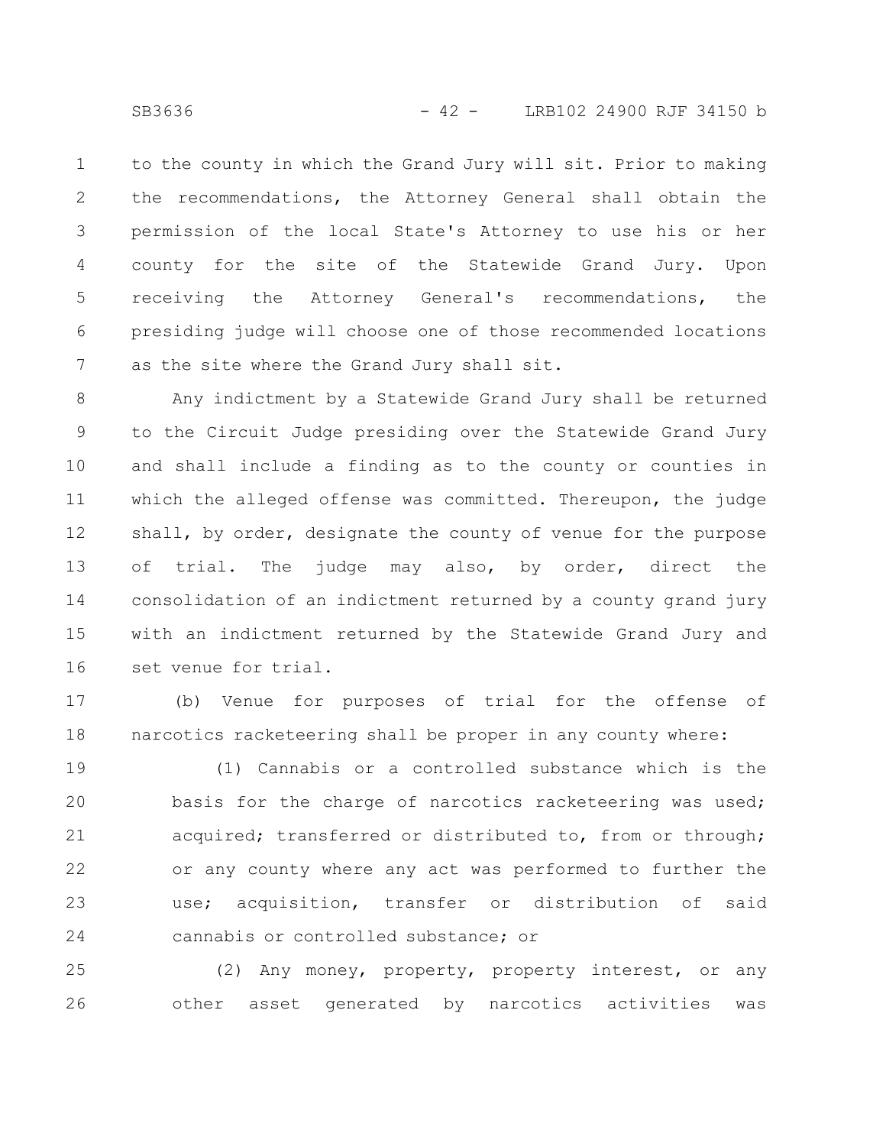to the county in which the Grand Jury will sit. Prior to making the recommendations, the Attorney General shall obtain the permission of the local State's Attorney to use his or her county for the site of the Statewide Grand Jury. Upon receiving the Attorney General's recommendations, the presiding judge will choose one of those recommended locations as the site where the Grand Jury shall sit. 1 2 3 4 5 6 7

Any indictment by a Statewide Grand Jury shall be returned to the Circuit Judge presiding over the Statewide Grand Jury and shall include a finding as to the county or counties in which the alleged offense was committed. Thereupon, the judge shall, by order, designate the county of venue for the purpose of trial. The judge may also, by order, direct the consolidation of an indictment returned by a county grand jury with an indictment returned by the Statewide Grand Jury and set venue for trial. 8 9 10 11 12 13 14 15 16

(b) Venue for purposes of trial for the offense of narcotics racketeering shall be proper in any county where: 17 18

(1) Cannabis or a controlled substance which is the basis for the charge of narcotics racketeering was used; acquired; transferred or distributed to, from or through; or any county where any act was performed to further the use; acquisition, transfer or distribution of said cannabis or controlled substance; or 19 20 21 22 23 24

(2) Any money, property, property interest, or any other asset generated by narcotics activities was 25 26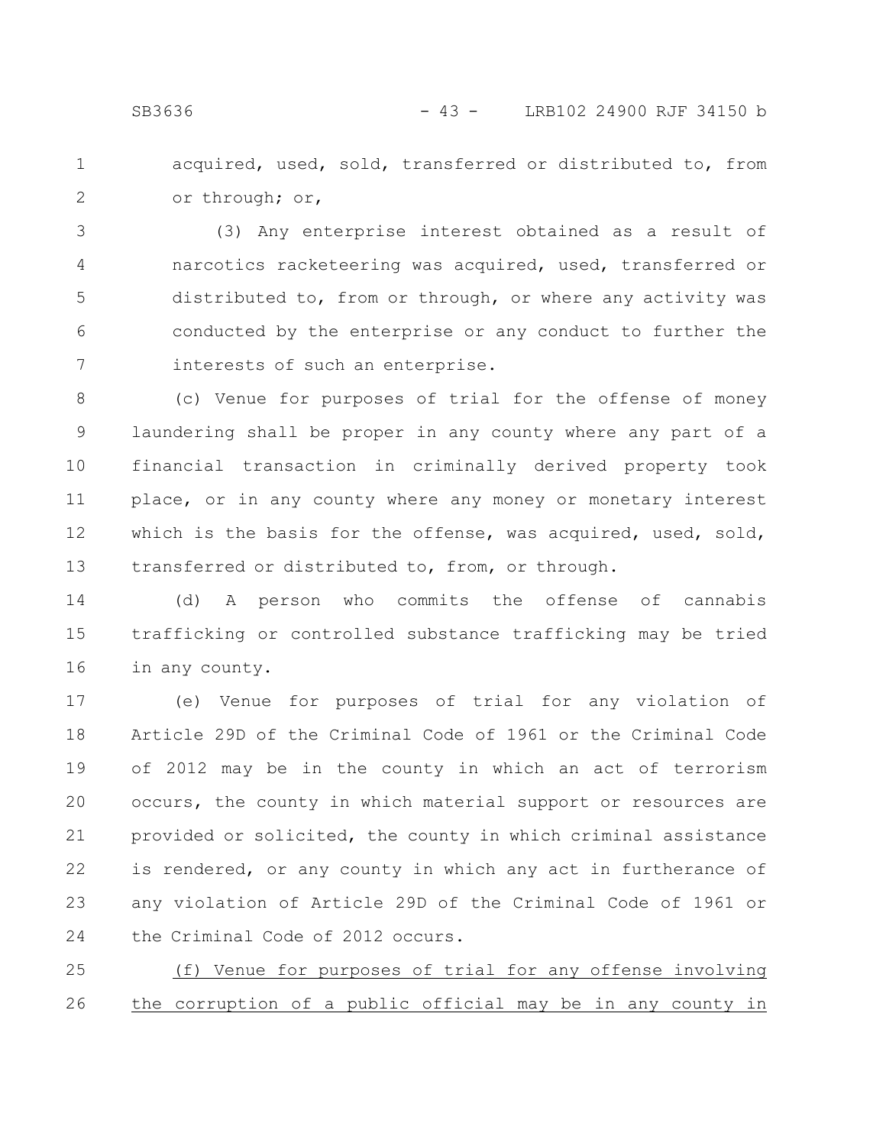acquired, used, sold, transferred or distributed to, from or through; or, 1 2

(3) Any enterprise interest obtained as a result of narcotics racketeering was acquired, used, transferred or distributed to, from or through, or where any activity was conducted by the enterprise or any conduct to further the interests of such an enterprise. 3 4 5 6 7

(c) Venue for purposes of trial for the offense of money laundering shall be proper in any county where any part of a financial transaction in criminally derived property took place, or in any county where any money or monetary interest which is the basis for the offense, was acquired, used, sold, transferred or distributed to, from, or through. 8 9 10 11 12 13

(d) A person who commits the offense of cannabis trafficking or controlled substance trafficking may be tried in any county. 14 15 16

(e) Venue for purposes of trial for any violation of Article 29D of the Criminal Code of 1961 or the Criminal Code of 2012 may be in the county in which an act of terrorism occurs, the county in which material support or resources are provided or solicited, the county in which criminal assistance is rendered, or any county in which any act in furtherance of any violation of Article 29D of the Criminal Code of 1961 or the Criminal Code of 2012 occurs. 17 18 19 20 21 22 23 24

(f) Venue for purposes of trial for any offense involving the corruption of a public official may be in any county in 25 26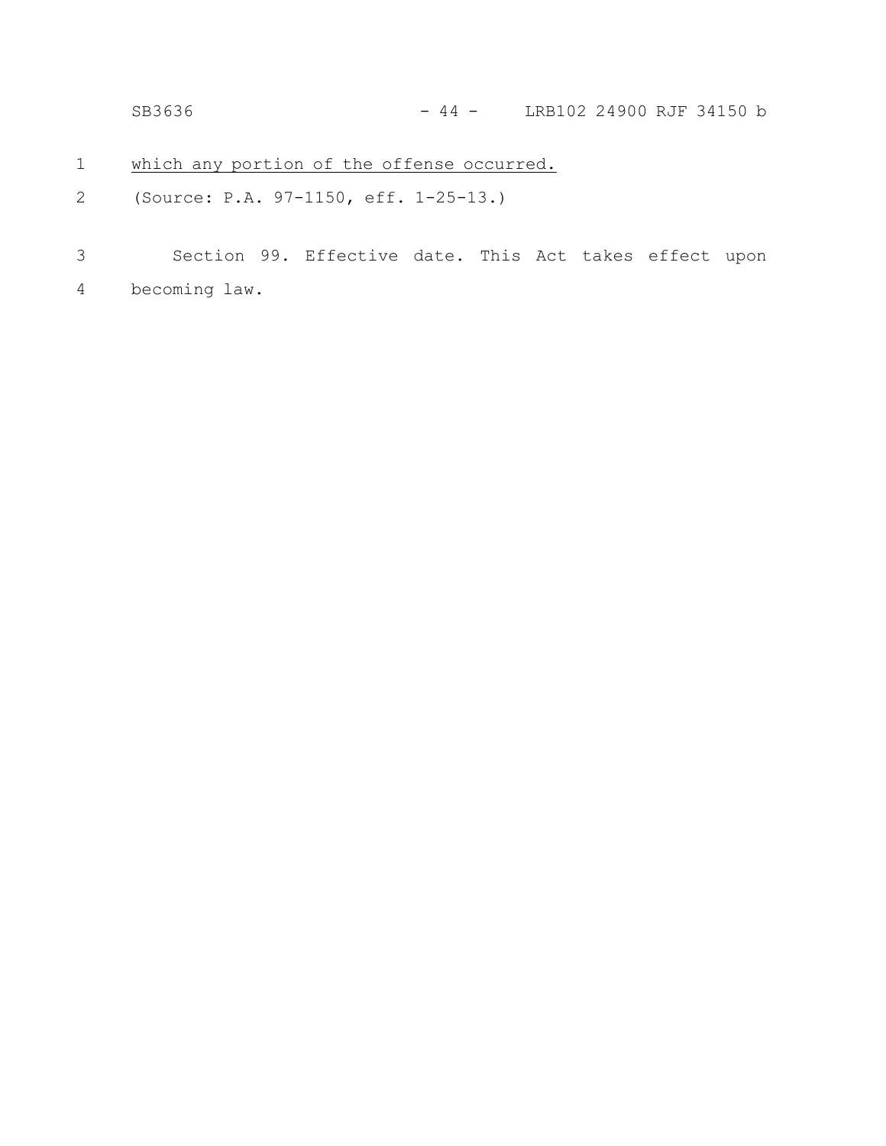SB3636 - 44 - LRB102 24900 RJF 34150 b

- which any portion of the offense occurred. 1
- (Source: P.A. 97-1150, eff. 1-25-13.) 2
- Section 99. Effective date. This Act takes effect upon becoming law. 3 4